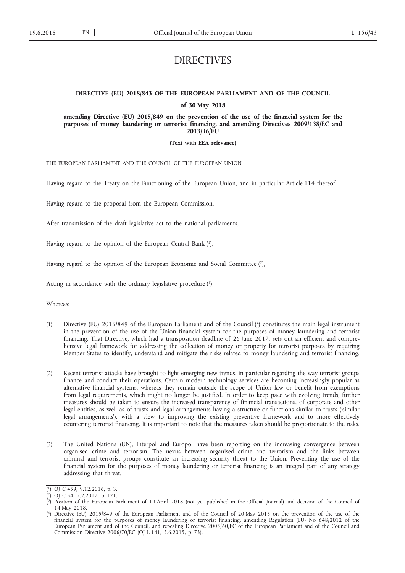# DIRECTIVES

## **DIRECTIVE (EU) 2018/843 OF THE EUROPEAN PARLIAMENT AND OF THE COUNCIL of 30 May 2018**

**amending Directive (EU) 2015/849 on the prevention of the use of the financial system for the purposes of money laundering or terrorist financing, and amending Directives 2009/138/EC and 2013/36/EU**

**(Text with EEA relevance)**

THE EUROPEAN PARLIAMENT AND THE COUNCIL OF THE EUROPEAN UNION,

Having regard to the Treaty on the Functioning of the European Union, and in particular Article 114 thereof,

Having regard to the proposal from the European Commission,

After transmission of the draft legislative act to the national parliaments,

Having regard to the opinion of the European Central Bank (1),

Having regard to the opinion of the European Economic and Social Committee (2),

Acting in accordance with the ordinary legislative procedure  $(3)$ ,

Whereas:

- (1) Directive (EU) 2015/849 of the European Parliament and of the Council (4) constitutes the main legal instrument in the prevention of the use of the Union financial system for the purposes of money laundering and terrorist financing. That Directive, which had a transposition deadline of 26 June 2017, sets out an efficient and comprehensive legal framework for addressing the collection of money or property for terrorist purposes by requiring Member States to identify, understand and mitigate the risks related to money laundering and terrorist financing.
- (2) Recent terrorist attacks have brought to light emerging new trends, in particular regarding the way terrorist groups finance and conduct their operations. Certain modern technology services are becoming increasingly popular as alternative financial systems, whereas they remain outside the scope of Union law or benefit from exemptions from legal requirements, which might no longer be justified. In order to keep pace with evolving trends, further measures should be taken to ensure the increased transparency of financial transactions, of corporate and other legal entities, as well as of trusts and legal arrangements having a structure or functions similar to trusts ('similar legal arrangements'), with a view to improving the existing preventive framework and to more effectively countering terrorist financing. It is important to note that the measures taken should be proportionate to the risks.
- (3) The United Nations (UN), Interpol and Europol have been reporting on the increasing convergence between organised crime and terrorism. The nexus between organised crime and terrorism and the links between criminal and terrorist groups constitute an increasing security threat to the Union. Preventing the use of the financial system for the purposes of money laundering or terrorist financing is an integral part of any strategy addressing that threat.

<sup>(</sup> 1) OJ C 459, 9.12.2016, p. 3.

<sup>(</sup> 2) OJ C 34, 2.2.2017, p. 121.

<sup>(</sup> 3) Position of the European Parliament of 19 April 2018 (not yet published in the Official Journal) and decision of the Council of 14 May 2018.

<sup>(</sup> 4) Directive (EU) 2015/849 of the European Parliament and of the Council of 20 May 2015 on the prevention of the use of the financial system for the purposes of money laundering or terrorist financing, amending Regulation (EU) No 648/2012 of the European Parliament and of the Council, and repealing Directive 2005/60/EC of the European Parliament and of the Council and Commission Directive 2006/70/EC (OJ L 141, 5.6.2015, p. 73).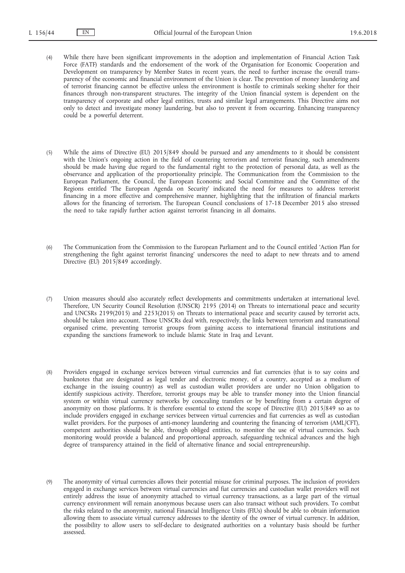- (4) While there have been significant improvements in the adoption and implementation of Financial Action Task Force (FATF) standards and the endorsement of the work of the Organisation for Economic Cooperation and Development on transparency by Member States in recent years, the need to further increase the overall transparency of the economic and financial environment of the Union is clear. The prevention of money laundering and of terrorist financing cannot be effective unless the environment is hostile to criminals seeking shelter for their finances through non-transparent structures. The integrity of the Union financial system is dependent on the transparency of corporate and other legal entities, trusts and similar legal arrangements. This Directive aims not only to detect and investigate money laundering, but also to prevent it from occurring. Enhancing transparency could be a powerful deterrent.
- (5) While the aims of Directive (EU) 2015/849 should be pursued and any amendments to it should be consistent with the Union's ongoing action in the field of countering terrorism and terrorist financing, such amendments should be made having due regard to the fundamental right to the protection of personal data, as well as the observance and application of the proportionality principle. The Communication from the Commission to the European Parliament, the Council, the European Economic and Social Committee and the Committee of the Regions entitled 'The European Agenda on Security' indicated the need for measures to address terrorist financing in a more effective and comprehensive manner, highlighting that the infiltration of financial markets allows for the financing of terrorism. The European Council conclusions of 17-18 December 2015 also stressed the need to take rapidly further action against terrorist financing in all domains.
- (6) The Communication from the Commission to the European Parliament and to the Council entitled 'Action Plan for strengthening the fight against terrorist financing' underscores the need to adapt to new threats and to amend Directive (EU) 2015/849 accordingly.
- (7) Union measures should also accurately reflect developments and commitments undertaken at international level. Therefore, UN Security Council Resolution (UNSCR) 2195 (2014) on Threats to international peace and security and UNCSRs 2199(2015) and 2253(2015) on Threats to international peace and security caused by terrorist acts, should be taken into account. Those UNSCRs deal with, respectively, the links between terrorism and transnational organised crime, preventing terrorist groups from gaining access to international financial institutions and expanding the sanctions framework to include Islamic State in Iraq and Levant.
- (8) Providers engaged in exchange services between virtual currencies and fiat currencies (that is to say coins and banknotes that are designated as legal tender and electronic money, of a country, accepted as a medium of exchange in the issuing country) as well as custodian wallet providers are under no Union obligation to identify suspicious activity. Therefore, terrorist groups may be able to transfer money into the Union financial system or within virtual currency networks by concealing transfers or by benefiting from a certain degree of anonymity on those platforms. It is therefore essential to extend the scope of Directive (EU) 2015/849 so as to include providers engaged in exchange services between virtual currencies and fiat currencies as well as custodian wallet providers. For the purposes of anti-money laundering and countering the financing of terrorism (AML/CFT), competent authorities should be able, through obliged entities, to monitor the use of virtual currencies. Such monitoring would provide a balanced and proportional approach, safeguarding technical advances and the high degree of transparency attained in the field of alternative finance and social entrepreneurship.
- (9) The anonymity of virtual currencies allows their potential misuse for criminal purposes. The inclusion of providers engaged in exchange services between virtual currencies and fiat currencies and custodian wallet providers will not entirely address the issue of anonymity attached to virtual currency transactions, as a large part of the virtual currency environment will remain anonymous because users can also transact without such providers. To combat the risks related to the anonymity, national Financial Intelligence Units (FIUs) should be able to obtain information allowing them to associate virtual currency addresses to the identity of the owner of virtual currency. In addition, the possibility to allow users to self-declare to designated authorities on a voluntary basis should be further assessed.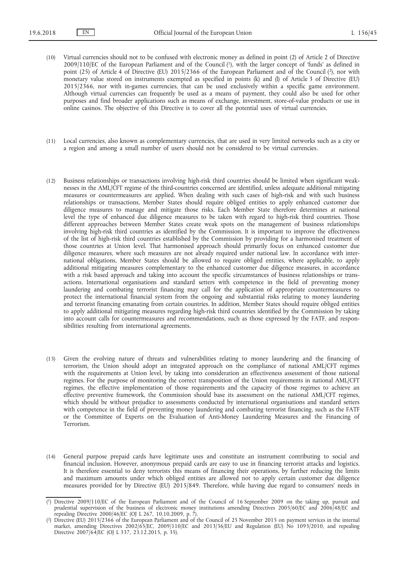- (10) Virtual currencies should not to be confused with electronic money as defined in point (2) of Article 2 of Directive 2009/110/EC of the European Parliament and of the Council (1), with the larger concept of 'funds' as defined in point (25) of Article 4 of Directive (EU) 2015/2366 of the European Parliament and of the Council (2), nor with monetary value stored on instruments exempted as specified in points (k) and (l) of Article 3 of Directive (EU) 2015/2366, nor with in-games currencies, that can be used exclusively within a specific game environment. Although virtual currencies can frequently be used as a means of payment, they could also be used for other purposes and find broader applications such as means of exchange, investment, store-of-value products or use in online casinos. The objective of this Directive is to cover all the potential uses of virtual currencies.
- (11) Local currencies, also known as complementary currencies, that are used in very limited networks such as a city or a region and among a small number of users should not be considered to be virtual currencies.
- (12) Business relationships or transactions involving high-risk third countries should be limited when significant weaknesses in the AML/CFT regime of the third-countries concerned are identified, unless adequate additional mitigating measures or countermeasures are applied. When dealing with such cases of high-risk and with such business relationships or transactions, Member States should require obliged entities to apply enhanced customer due diligence measures to manage and mitigate those risks. Each Member State therefore determines at national level the type of enhanced due diligence measures to be taken with regard to high-risk third countries. Those different approaches between Member States create weak spots on the management of business relationships involving high-risk third countries as identified by the Commission. It is important to improve the effectiveness of the list of high-risk third countries established by the Commission by providing for a harmonised treatment of those countries at Union level. That harmonised approach should primarily focus on enhanced customer due diligence measures, where such measures are not already required under national law. In accordance with international obligations, Member States should be allowed to require obliged entities, where applicable, to apply additional mitigating measures complementary to the enhanced customer due diligence measures, in accordance with a risk based approach and taking into account the specific circumstances of business relationships or transactions. International organisations and standard setters with competence in the field of preventing money laundering and combating terrorist financing may call for the application of appropriate countermeasures to protect the international financial system from the ongoing and substantial risks relating to money laundering and terrorist financing emanating from certain countries. In addition, Member States should require obliged entities to apply additional mitigating measures regarding high-risk third countries identified by the Commission by taking into account calls for countermeasures and recommendations, such as those expressed by the FATF, and responsibilities resulting from international agreements.
- (13) Given the evolving nature of threats and vulnerabilities relating to money laundering and the financing of terrorism, the Union should adopt an integrated approach on the compliance of national AML/CFT regimes with the requirements at Union level, by taking into consideration an effectiveness assessment of those national regimes. For the purpose of monitoring the correct transposition of the Union requirements in national AML/CFT regimes, the effective implementation of those requirements and the capacity of those regimes to achieve an effective preventive framework, the Commission should base its assessment on the national AML/CFT regimes, which should be without prejudice to assessments conducted by international organisations and standard setters with competence in the field of preventing money laundering and combating terrorist financing, such as the FATF or the Committee of Experts on the Evaluation of Anti-Money Laundering Measures and the Financing of Terrorism.
- (14) General purpose prepaid cards have legitimate uses and constitute an instrument contributing to social and financial inclusion. However, anonymous prepaid cards are easy to use in financing terrorist attacks and logistics. It is therefore essential to deny terrorists this means of financing their operations, by further reducing the limits and maximum amounts under which obliged entities are allowed not to apply certain customer due diligence measures provided for by Directive (EU) 2015/849. Therefore, while having due regard to consumers' needs in

<sup>(</sup> 1) Directive 2009/110/EC of the European Parliament and of the Council of 16 September 2009 on the taking up, pursuit and prudential supervision of the business of electronic money institutions amending Directives 2005/60/EC and 2006/48/EC and repealing Directive 2000/46/EC (OJ L 267, 10.10.2009, p. 7).

<sup>(</sup> 2) Directive (EU) 2015/2366 of the European Parliament and of the Council of 25 November 2015 on payment services in the internal market, amending Directives 2002/65/EC, 2009/110/EC and 2013/36/EU and Regulation (EU) No 1093/2010, and repealing Directive 2007/64/EC (OJ L 337, 23.12.2015, p. 35).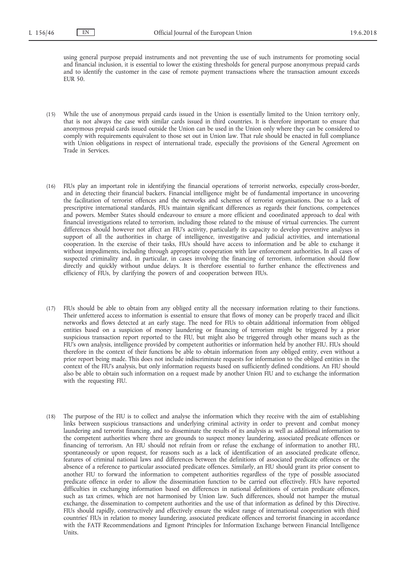using general purpose prepaid instruments and not preventing the use of such instruments for promoting social and financial inclusion, it is essential to lower the existing thresholds for general purpose anonymous prepaid cards and to identify the customer in the case of remote payment transactions where the transaction amount exceeds EUR 50.

- (15) While the use of anonymous prepaid cards issued in the Union is essentially limited to the Union territory only, that is not always the case with similar cards issued in third countries. It is therefore important to ensure that anonymous prepaid cards issued outside the Union can be used in the Union only where they can be considered to comply with requirements equivalent to those set out in Union law. That rule should be enacted in full compliance with Union obligations in respect of international trade, especially the provisions of the General Agreement on Trade in Services.
- (16) FIUs play an important role in identifying the financial operations of terrorist networks, especially cross-border, and in detecting their financial backers. Financial intelligence might be of fundamental importance in uncovering the facilitation of terrorist offences and the networks and schemes of terrorist organisations. Due to a lack of prescriptive international standards, FIUs maintain significant differences as regards their functions, competences and powers. Member States should endeavour to ensure a more efficient and coordinated approach to deal with financial investigations related to terrorism, including those related to the misuse of virtual currencies. The current differences should however not affect an FIU's activity, particularly its capacity to develop preventive analyses in support of all the authorities in charge of intelligence, investigative and judicial activities, and international cooperation. In the exercise of their tasks, FIUs should have access to information and be able to exchange it without impediments, including through appropriate cooperation with law enforcement authorities. In all cases of suspected criminality and, in particular, in cases involving the financing of terrorism, information should flow directly and quickly without undue delays. It is therefore essential to further enhance the effectiveness and efficiency of FIUs, by clarifying the powers of and cooperation between FIUs.
- (17) FIUs should be able to obtain from any obliged entity all the necessary information relating to their functions. Their unfettered access to information is essential to ensure that flows of money can be properly traced and illicit networks and flows detected at an early stage. The need for FIUs to obtain additional information from obliged entities based on a suspicion of money laundering or financing of terrorism might be triggered by a prior suspicious transaction report reported to the FIU, but might also be triggered through other means such as the FIU's own analysis, intelligence provided by competent authorities or information held by another FIU. FIUs should therefore in the context of their functions be able to obtain information from any obliged entity, even without a prior report being made. This does not include indiscriminate requests for information to the obliged entities in the context of the FIU's analysis, but only information requests based on sufficiently defined conditions. An FIU should also be able to obtain such information on a request made by another Union FIU and to exchange the information with the requesting FIU.
- (18) The purpose of the FIU is to collect and analyse the information which they receive with the aim of establishing links between suspicious transactions and underlying criminal activity in order to prevent and combat money laundering and terrorist financing, and to disseminate the results of its analysis as well as additional information to the competent authorities where there are grounds to suspect money laundering, associated predicate offences or financing of terrorism. An FIU should not refrain from or refuse the exchange of information to another FIU, spontaneously or upon request, for reasons such as a lack of identification of an associated predicate offence, features of criminal national laws and differences between the definitions of associated predicate offences or the absence of a reference to particular associated predicate offences. Similarly, an FIU should grant its prior consent to another FIU to forward the information to competent authorities regardless of the type of possible associated predicate offence in order to allow the dissemination function to be carried out effectively. FIUs have reported difficulties in exchanging information based on differences in national definitions of certain predicate offences, such as tax crimes, which are not harmonised by Union law. Such differences, should not hamper the mutual exchange, the dissemination to competent authorities and the use of that information as defined by this Directive. FIUs should rapidly, constructively and effectively ensure the widest range of international cooperation with third countries' FIUs in relation to money laundering, associated predicate offences and terrorist financing in accordance with the FATF Recommendations and Egmont Principles for Information Exchange between Financial Intelligence Units.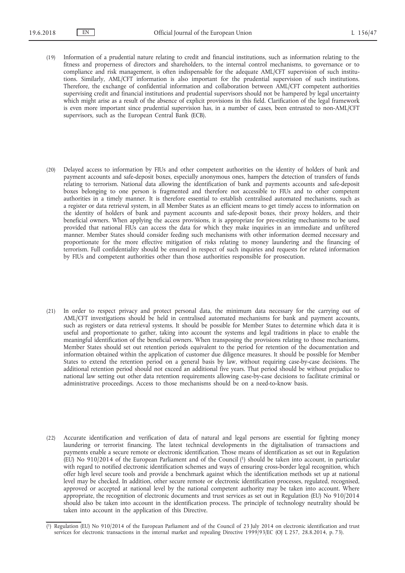- (19) Information of a prudential nature relating to credit and financial institutions, such as information relating to the fitness and properness of directors and shareholders, to the internal control mechanisms, to governance or to compliance and risk management, is often indispensable for the adequate AML/CFT supervision of such institutions. Similarly, AML/CFT information is also important for the prudential supervision of such institutions. Therefore, the exchange of confidential information and collaboration between AML/CFT competent authorities supervising credit and financial institutions and prudential supervisors should not be hampered by legal uncertainty which might arise as a result of the absence of explicit provisions in this field. Clarification of the legal framework is even more important since prudential supervision has, in a number of cases, been entrusted to non-AML/CFT supervisors, such as the European Central Bank (ECB).
- (20) Delayed access to information by FIUs and other competent authorities on the identity of holders of bank and payment accounts and safe-deposit boxes, especially anonymous ones, hampers the detection of transfers of funds relating to terrorism. National data allowing the identification of bank and payments accounts and safe-deposit boxes belonging to one person is fragmented and therefore not accessible to FIUs and to other competent authorities in a timely manner. It is therefore essential to establish centralised automated mechanisms, such as a register or data retrieval system, in all Member States as an efficient means to get timely access to information on the identity of holders of bank and payment accounts and safe-deposit boxes, their proxy holders, and their beneficial owners. When applying the access provisions, it is appropriate for pre-existing mechanisms to be used provided that national FIUs can access the data for which they make inquiries in an immediate and unfiltered manner. Member States should consider feeding such mechanisms with other information deemed necessary and proportionate for the more effective mitigation of risks relating to money laundering and the financing of terrorism. Full confidentiality should be ensured in respect of such inquiries and requests for related information by FIUs and competent authorities other than those authorities responsible for prosecution.
- (21) In order to respect privacy and protect personal data, the minimum data necessary for the carrying out of AML/CFT investigations should be held in centralised automated mechanisms for bank and payment accounts, such as registers or data retrieval systems. It should be possible for Member States to determine which data it is useful and proportionate to gather, taking into account the systems and legal traditions in place to enable the meaningful identification of the beneficial owners. When transposing the provisions relating to those mechanisms, Member States should set out retention periods equivalent to the period for retention of the documentation and information obtained within the application of customer due diligence measures. It should be possible for Member States to extend the retention period on a general basis by law, without requiring case-by-case decisions. The additional retention period should not exceed an additional five years. That period should be without prejudice to national law setting out other data retention requirements allowing case-by-case decisions to facilitate criminal or administrative proceedings. Access to those mechanisms should be on a need-to-know basis.
- (22) Accurate identification and verification of data of natural and legal persons are essential for fighting money laundering or terrorist financing. The latest technical developments in the digitalisation of transactions and payments enable a secure remote or electronic identification. Those means of identification as set out in Regulation (EU) No 910/2014 of the European Parliament and of the Council (1) should be taken into account, in particular with regard to notified electronic identification schemes and ways of ensuring cross-border legal recognition, which offer high level secure tools and provide a benchmark against which the identification methods set up at national level may be checked. In addition, other secure remote or electronic identification processes, regulated, recognised, approved or accepted at national level by the national competent authority may be taken into account. Where appropriate, the recognition of electronic documents and trust services as set out in Regulation (EU) No 910/2014 should also be taken into account in the identification process. The principle of technology neutrality should be taken into account in the application of this Directive.

<sup>(</sup> 1) Regulation (EU) No 910/2014 of the European Parliament and of the Council of 23 July 2014 on electronic identification and trust services for electronic transactions in the internal market and repealing Directive 1999/93/EC (OJ L 257, 28.8.2014, p. 73).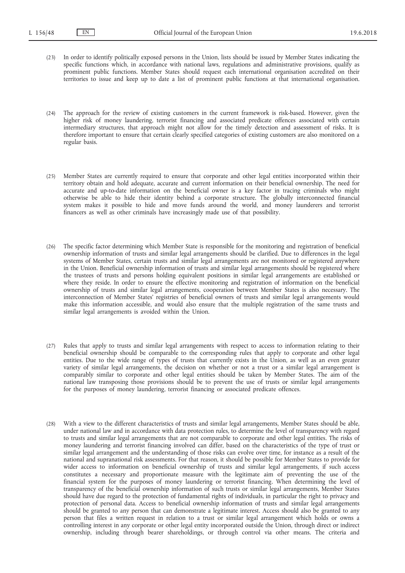- (23) In order to identify politically exposed persons in the Union, lists should be issued by Member States indicating the specific functions which, in accordance with national laws, regulations and administrative provisions, qualify as prominent public functions. Member States should request each international organisation accredited on their territories to issue and keep up to date a list of prominent public functions at that international organisation.
- (24) The approach for the review of existing customers in the current framework is risk-based. However, given the higher risk of money laundering, terrorist financing and associated predicate offences associated with certain intermediary structures, that approach might not allow for the timely detection and assessment of risks. It is therefore important to ensure that certain clearly specified categories of existing customers are also monitored on a regular basis.
- (25) Member States are currently required to ensure that corporate and other legal entities incorporated within their territory obtain and hold adequate, accurate and current information on their beneficial ownership. The need for accurate and up-to-date information on the beneficial owner is a key factor in tracing criminals who might otherwise be able to hide their identity behind a corporate structure. The globally interconnected financial system makes it possible to hide and move funds around the world, and money launderers and terrorist financers as well as other criminals have increasingly made use of that possibility.
- (26) The specific factor determining which Member State is responsible for the monitoring and registration of beneficial ownership information of trusts and similar legal arrangements should be clarified. Due to differences in the legal systems of Member States, certain trusts and similar legal arrangements are not monitored or registered anywhere in the Union. Beneficial ownership information of trusts and similar legal arrangements should be registered where the trustees of trusts and persons holding equivalent positions in similar legal arrangements are established or where they reside. In order to ensure the effective monitoring and registration of information on the beneficial ownership of trusts and similar legal arrangements, cooperation between Member States is also necessary. The interconnection of Member States' registries of beneficial owners of trusts and similar legal arrangements would make this information accessible, and would also ensure that the multiple registration of the same trusts and similar legal arrangements is avoided within the Union.
- (27) Rules that apply to trusts and similar legal arrangements with respect to access to information relating to their beneficial ownership should be comparable to the corresponding rules that apply to corporate and other legal entities. Due to the wide range of types of trusts that currently exists in the Union, as well as an even greater variety of similar legal arrangements, the decision on whether or not a trust or a similar legal arrangement is comparably similar to corporate and other legal entities should be taken by Member States. The aim of the national law transposing those provisions should be to prevent the use of trusts or similar legal arrangements for the purposes of money laundering, terrorist financing or associated predicate offences.
- (28) With a view to the different characteristics of trusts and similar legal arrangements, Member States should be able, under national law and in accordance with data protection rules, to determine the level of transparency with regard to trusts and similar legal arrangements that are not comparable to corporate and other legal entities. The risks of money laundering and terrorist financing involved can differ, based on the characteristics of the type of trust or similar legal arrangement and the understanding of those risks can evolve over time, for instance as a result of the national and supranational risk assessments. For that reason, it should be possible for Member States to provide for wider access to information on beneficial ownership of trusts and similar legal arrangements, if such access constitutes a necessary and proportionate measure with the legitimate aim of preventing the use of the financial system for the purposes of money laundering or terrorist financing. When determining the level of transparency of the beneficial ownership information of such trusts or similar legal arrangements, Member States should have due regard to the protection of fundamental rights of individuals, in particular the right to privacy and protection of personal data. Access to beneficial ownership information of trusts and similar legal arrangements should be granted to any person that can demonstrate a legitimate interest. Access should also be granted to any person that files a written request in relation to a trust or similar legal arrangement which holds or owns a controlling interest in any corporate or other legal entity incorporated outside the Union, through direct or indirect ownership, including through bearer shareholdings, or through control via other means. The criteria and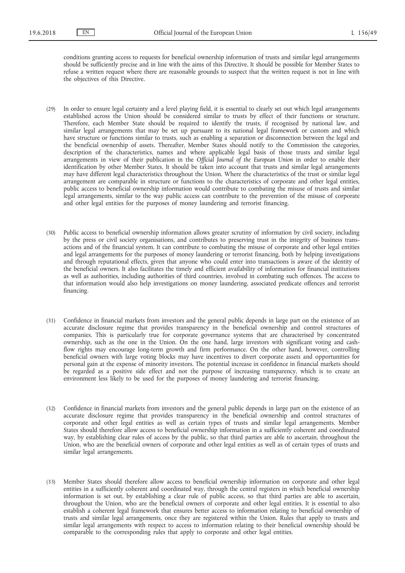conditions granting access to requests for beneficial ownership information of trusts and similar legal arrangements should be sufficiently precise and in line with the aims of this Directive. It should be possible for Member States to refuse a written request where there are reasonable grounds to suspect that the written request is not in line with the objectives of this Directive.

- (29) In order to ensure legal certainty and a level playing field, it is essential to clearly set out which legal arrangements established across the Union should be considered similar to trusts by effect of their functions or structure. Therefore, each Member State should be required to identify the trusts, if recognised by national law, and similar legal arrangements that may be set up pursuant to its national legal framework or custom and which have structure or functions similar to trusts, such as enabling a separation or disconnection between the legal and the beneficial ownership of assets. Thereafter, Member States should notify to the Commission the categories, description of the characteristics, names and where applicable legal basis of those trusts and similar legal arrangements in view of their publication in the *Official Journal of the European Union* in order to enable their identification by other Member States. It should be taken into account that trusts and similar legal arrangements may have different legal characteristics throughout the Union. Where the characteristics of the trust or similar legal arrangement are comparable in structure or functions to the characteristics of corporate and other legal entities, public access to beneficial ownership information would contribute to combating the misuse of trusts and similar legal arrangements, similar to the way public access can contribute to the prevention of the misuse of corporate and other legal entities for the purposes of money laundering and terrorist financing.
- (30) Public access to beneficial ownership information allows greater scrutiny of information by civil society, including by the press or civil society organisations, and contributes to preserving trust in the integrity of business transactions and of the financial system. It can contribute to combating the misuse of corporate and other legal entities and legal arrangements for the purposes of money laundering or terrorist financing, both by helping investigations and through reputational effects, given that anyone who could enter into transactions is aware of the identity of the beneficial owners. It also facilitates the timely and efficient availability of information for financial institutions as well as authorities, including authorities of third countries, involved in combating such offences. The access to that information would also help investigations on money laundering, associated predicate offences and terrorist financing.
- (31) Confidence in financial markets from investors and the general public depends in large part on the existence of an accurate disclosure regime that provides transparency in the beneficial ownership and control structures of companies. This is particularly true for corporate governance systems that are characterised by concentrated ownership, such as the one in the Union. On the one hand, large investors with significant voting and cashflow rights may encourage long-term growth and firm performance. On the other hand, however, controlling beneficial owners with large voting blocks may have incentives to divert corporate assets and opportunities for personal gain at the expense of minority investors. The potential increase in confidence in financial markets should be regarded as a positive side effect and not the purpose of increasing transparency, which is to create an environment less likely to be used for the purposes of money laundering and terrorist financing.
- (32) Confidence in financial markets from investors and the general public depends in large part on the existence of an accurate disclosure regime that provides transparency in the beneficial ownership and control structures of corporate and other legal entities as well as certain types of trusts and similar legal arrangements. Member States should therefore allow access to beneficial ownership information in a sufficiently coherent and coordinated way, by establishing clear rules of access by the public, so that third parties are able to ascertain, throughout the Union, who are the beneficial owners of corporate and other legal entities as well as of certain types of trusts and similar legal arrangements.
- (33) Member States should therefore allow access to beneficial ownership information on corporate and other legal entities in a sufficiently coherent and coordinated way, through the central registers in which beneficial ownership information is set out, by establishing a clear rule of public access, so that third parties are able to ascertain, throughout the Union, who are the beneficial owners of corporate and other legal entities. It is essential to also establish a coherent legal framework that ensures better access to information relating to beneficial ownership of trusts and similar legal arrangements, once they are registered within the Union. Rules that apply to trusts and similar legal arrangements with respect to access to information relating to their beneficial ownership should be comparable to the corresponding rules that apply to corporate and other legal entities.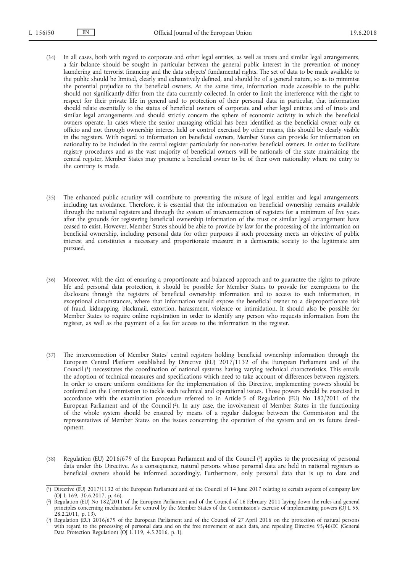- (34) In all cases, both with regard to corporate and other legal entities, as well as trusts and similar legal arrangements, a fair balance should be sought in particular between the general public interest in the prevention of money laundering and terrorist financing and the data subjects' fundamental rights. The set of data to be made available to the public should be limited, clearly and exhaustively defined, and should be of a general nature, so as to minimise the potential prejudice to the beneficial owners. At the same time, information made accessible to the public should not significantly differ from the data currently collected. In order to limit the interference with the right to respect for their private life in general and to protection of their personal data in particular, that information should relate essentially to the status of beneficial owners of corporate and other legal entities and of trusts and similar legal arrangements and should strictly concern the sphere of economic activity in which the beneficial owners operate. In cases where the senior managing official has been identified as the beneficial owner only ex officio and not through ownership interest held or control exercised by other means, this should be clearly visible in the registers. With regard to information on beneficial owners, Member States can provide for information on nationality to be included in the central register particularly for non-native beneficial owners. In order to facilitate registry procedures and as the vast majority of beneficial owners will be nationals of the state maintaining the central register, Member States may presume a beneficial owner to be of their own nationality where no entry to the contrary is made.
- (35) The enhanced public scrutiny will contribute to preventing the misuse of legal entities and legal arrangements, including tax avoidance. Therefore, it is essential that the information on beneficial ownership remains available through the national registers and through the system of interconnection of registers for a minimum of five years after the grounds for registering beneficial ownership information of the trust or similar legal arrangement have ceased to exist. However, Member States should be able to provide by law for the processing of the information on beneficial ownership, including personal data for other purposes if such processing meets an objective of public interest and constitutes a necessary and proportionate measure in a democratic society to the legitimate aim pursued.
- (36) Moreover, with the aim of ensuring a proportionate and balanced approach and to guarantee the rights to private life and personal data protection, it should be possible for Member States to provide for exemptions to the disclosure through the registers of beneficial ownership information and to access to such information, in exceptional circumstances, where that information would expose the beneficial owner to a disproportionate risk of fraud, kidnapping, blackmail, extortion, harassment, violence or intimidation. It should also be possible for Member States to require online registration in order to identify any person who requests information from the register, as well as the payment of a fee for access to the information in the register.
- (37) The interconnection of Member States' central registers holding beneficial ownership information through the European Central Platform established by Directive (EU) 2017/1132 of the European Parliament and of the Council (1) necessitates the coordination of national systems having varying technical characteristics. This entails the adoption of technical measures and specifications which need to take account of differences between registers. In order to ensure uniform conditions for the implementation of this Directive, implementing powers should be conferred on the Commission to tackle such technical and operational issues. Those powers should be exercised in accordance with the examination procedure referred to in Article 5 of Regulation (EU) No 182/2011 of the European Parliament and of the Council (2). In any case, the involvement of Member States in the functioning of the whole system should be ensured by means of a regular dialogue between the Commission and the representatives of Member States on the issues concerning the operation of the system and on its future development.
- (38) Regulation (EU) 2016/679 of the European Parliament and of the Council (3) applies to the processing of personal data under this Directive. As a consequence, natural persons whose personal data are held in national registers as beneficial owners should be informed accordingly. Furthermore, only personal data that is up to date and

<sup>(</sup> 1) Directive (EU) 2017/1132 of the European Parliament and of the Council of 14 June 2017 relating to certain aspects of company law (OJ L 169, 30.6.2017, p. 46).

<sup>(</sup> 2) Regulation (EU) No 182/2011 of the European Parliament and of the Council of 16 February 2011 laying down the rules and general principles concerning mechanisms for control by the Member States of the Commission's exercise of implementing powers (OJ L 55, 28.2.2011, p. 13).

<sup>(</sup> 3) Regulation (EU) 2016/679 of the European Parliament and of the Council of 27 April 2016 on the protection of natural persons with regard to the processing of personal data and on the free movement of such data, and repealing Directive 95/46/EC (General Data Protection Regulation) (OJ L 119, 4.5.2016, p. 1).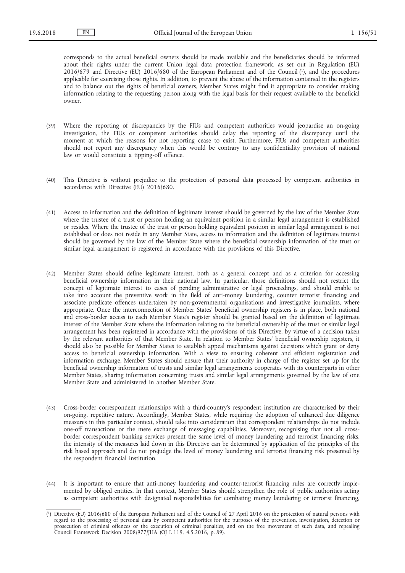corresponds to the actual beneficial owners should be made available and the beneficiaries should be informed about their rights under the current Union legal data protection framework, as set out in Regulation (EU) 2016/679 and Directive (EU) 2016/680 of the European Parliament and of the Council (1), and the procedures applicable for exercising those rights. In addition, to prevent the abuse of the information contained in the registers and to balance out the rights of beneficial owners, Member States might find it appropriate to consider making information relating to the requesting person along with the legal basis for their request available to the beneficial owner.

- (39) Where the reporting of discrepancies by the FIUs and competent authorities would jeopardise an on-going investigation, the FIUs or competent authorities should delay the reporting of the discrepancy until the moment at which the reasons for not reporting cease to exist. Furthermore, FIUs and competent authorities should not report any discrepancy when this would be contrary to any confidentiality provision of national law or would constitute a tipping-off offence.
- (40) This Directive is without prejudice to the protection of personal data processed by competent authorities in accordance with Directive (EU) 2016/680.
- (41) Access to information and the definition of legitimate interest should be governed by the law of the Member State where the trustee of a trust or person holding an equivalent position in a similar legal arrangement is established or resides. Where the trustee of the trust or person holding equivalent position in similar legal arrangement is not established or does not reside in any Member State, access to information and the definition of legitimate interest should be governed by the law of the Member State where the beneficial ownership information of the trust or similar legal arrangement is registered in accordance with the provisions of this Directive.
- (42) Member States should define legitimate interest, both as a general concept and as a criterion for accessing beneficial ownership information in their national law. In particular, those definitions should not restrict the concept of legitimate interest to cases of pending administrative or legal proceedings, and should enable to take into account the preventive work in the field of anti-money laundering, counter terrorist financing and associate predicate offences undertaken by non-governmental organisations and investigative journalists, where appropriate. Once the interconnection of Member States' beneficial ownership registers is in place, both national and cross-border access to each Member State's register should be granted based on the definition of legitimate interest of the Member State where the information relating to the beneficial ownership of the trust or similar legal arrangement has been registered in accordance with the provisions of this Directive, by virtue of a decision taken by the relevant authorities of that Member State. In relation to Member States' beneficial ownership registers, it should also be possible for Member States to establish appeal mechanisms against decisions which grant or deny access to beneficial ownership information. With a view to ensuring coherent and efficient registration and information exchange, Member States should ensure that their authority in charge of the register set up for the beneficial ownership information of trusts and similar legal arrangements cooperates with its counterparts in other Member States, sharing information concerning trusts and similar legal arrangements governed by the law of one Member State and administered in another Member State.
- (43) Cross-border correspondent relationships with a third-country's respondent institution are characterised by their on-going, repetitive nature. Accordingly, Member States, while requiring the adoption of enhanced due diligence measures in this particular context, should take into consideration that correspondent relationships do not include one-off transactions or the mere exchange of messaging capabilities. Moreover, recognising that not all crossborder correspondent banking services present the same level of money laundering and terrorist financing risks, the intensity of the measures laid down in this Directive can be determined by application of the principles of the risk based approach and do not prejudge the level of money laundering and terrorist financing risk presented by the respondent financial institution.
- (44) It is important to ensure that anti-money laundering and counter-terrorist financing rules are correctly implemented by obliged entities. In that context, Member States should strengthen the role of public authorities acting as competent authorities with designated responsibilities for combating money laundering or terrorist financing,

<sup>(</sup> 1) Directive (EU) 2016/680 of the European Parliament and of the Council of 27 April 2016 on the protection of natural persons with regard to the processing of personal data by competent authorities for the purposes of the prevention, investigation, detection or prosecution of criminal offences or the execution of criminal penalties, and on the free movement of such data, and repealing Council Framework Decision 2008/977/JHA (OJ L 119, 4.5.2016, p. 89).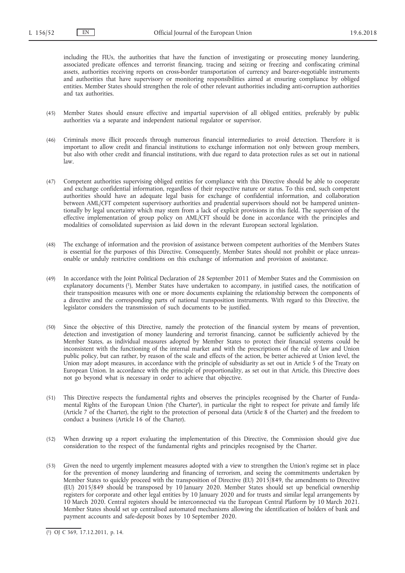including the FIUs, the authorities that have the function of investigating or prosecuting money laundering, associated predicate offences and terrorist financing, tracing and seizing or freezing and confiscating criminal assets, authorities receiving reports on cross-border transportation of currency and bearer-negotiable instruments and authorities that have supervisory or monitoring responsibilities aimed at ensuring compliance by obliged entities. Member States should strengthen the role of other relevant authorities including anti-corruption authorities and tax authorities.

- (45) Member States should ensure effective and impartial supervision of all obliged entities, preferably by public authorities via a separate and independent national regulator or supervisor.
- (46) Criminals move illicit proceeds through numerous financial intermediaries to avoid detection. Therefore it is important to allow credit and financial institutions to exchange information not only between group members, but also with other credit and financial institutions, with due regard to data protection rules as set out in national law.
- (47) Competent authorities supervising obliged entities for compliance with this Directive should be able to cooperate and exchange confidential information, regardless of their respective nature or status. To this end, such competent authorities should have an adequate legal basis for exchange of confidential information, and collaboration between AML/CFT competent supervisory authorities and prudential supervisors should not be hampered unintentionally by legal uncertainty which may stem from a lack of explicit provisions in this field. The supervision of the effective implementation of group policy on AML/CFT should be done in accordance with the principles and modalities of consolidated supervision as laid down in the relevant European sectoral legislation.
- (48) The exchange of information and the provision of assistance between competent authorities of the Members States is essential for the purposes of this Directive. Consequently, Member States should not prohibit or place unreasonable or unduly restrictive conditions on this exchange of information and provision of assistance.
- (49) In accordance with the Joint Political Declaration of 28 September 2011 of Member States and the Commission on explanatory documents (1), Member States have undertaken to accompany, in justified cases, the notification of their transposition measures with one or more documents explaining the relationship between the components of a directive and the corresponding parts of national transposition instruments. With regard to this Directive, the legislator considers the transmission of such documents to be justified.
- (50) Since the objective of this Directive, namely the protection of the financial system by means of prevention, detection and investigation of money laundering and terrorist financing, cannot be sufficiently achieved by the Member States, as individual measures adopted by Member States to protect their financial systems could be inconsistent with the functioning of the internal market and with the prescriptions of the rule of law and Union public policy, but can rather, by reason of the scale and effects of the action, be better achieved at Union level, the Union may adopt measures, in accordance with the principle of subsidiarity as set out in Article 5 of the Treaty on European Union. In accordance with the principle of proportionality, as set out in that Article, this Directive does not go beyond what is necessary in order to achieve that objective.
- (51) This Directive respects the fundamental rights and observes the principles recognised by the Charter of Fundamental Rights of the European Union ('the Charter'), in particular the right to respect for private and family life (Article 7 of the Charter), the right to the protection of personal data (Article 8 of the Charter) and the freedom to conduct a business (Article 16 of the Charter).
- (52) When drawing up a report evaluating the implementation of this Directive, the Commission should give due consideration to the respect of the fundamental rights and principles recognised by the Charter.
- (53) Given the need to urgently implement measures adopted with a view to strengthen the Union's regime set in place for the prevention of money laundering and financing of terrorism, and seeing the commitments undertaken by Member States to quickly proceed with the transposition of Directive (EU) 2015/849, the amendments to Directive (EU) 2015/849 should be transposed by 10 January 2020. Member States should set up beneficial ownership registers for corporate and other legal entities by 10 January 2020 and for trusts and similar legal arrangements by 10 March 2020. Central registers should be interconnected via the European Central Platform by 10 March 2021. Member States should set up centralised automated mechanisms allowing the identification of holders of bank and payment accounts and safe-deposit boxes by 10 September 2020.

<sup>(</sup> 1) OJ C 369, 17.12.2011, p. 14.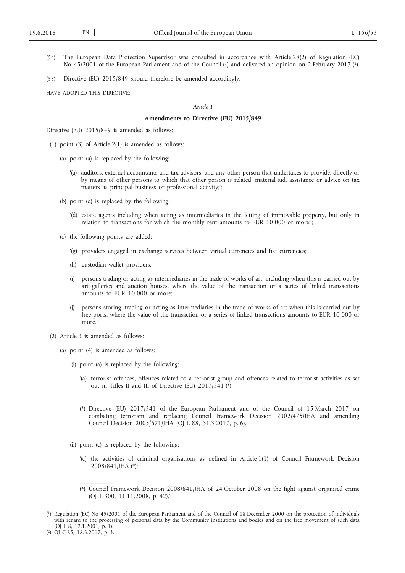- (54) The European Data Protection Supervisor was consulted in accordance with Article 28(2) of Regulation (EC) No 45/2001 of the European Parliament and of the Council (1) and delivered an opinion on 2 February 2017 (2).
- (55) Directive (EU) 2015/849 should therefore be amended accordingly,

HAVE ADOPTED THIS DIRECTIVE:

#### *Article 1*

#### **Amendments to Directive (EU) 2015/849**

Directive (EU) 2015/849 is amended as follows:

- (1) point (3) of Article 2(1) is amended as follows:
	- (a) point (a) is replaced by the following:
		- '(a) auditors, external accountants and tax advisors, and any other person that undertakes to provide, directly or by means of other persons to which that other person is related, material aid, assistance or advice on tax matters as principal business or professional activity;';
	- (b) point (d) is replaced by the following:
		- '(d) estate agents including when acting as intermediaries in the letting of immovable property, but only in relation to transactions for which the monthly rent amounts to EUR 10 000 or more;';
	- (c) the following points are added:
		- '(g) providers engaged in exchange services between virtual currencies and fiat currencies;
		- (h) custodian wallet providers;
		- (i) persons trading or acting as intermediaries in the trade of works of art, including when this is carried out by art galleries and auction houses, where the value of the transaction or a series of linked transactions amounts to EUR 10 000 or more;
		- (j) persons storing, trading or acting as intermediaries in the trade of works of art when this is carried out by free ports, where the value of the transaction or a series of linked transactions amounts to EUR 10 000 or more.';
- (2) Article 3 is amended as follows:

 $\frac{1}{2}$ 

 $\frac{1}{2}$ 

- (a) point (4) is amended as follows:
	- (i) point (a) is replaced by the following:
		- '(a) terrorist offences, offences related to a terrorist group and offences related to terrorist activities as set out in Titles II and III of Directive (EU) 2017/541 (\*);
		- (\*) Directive (EU) 2017/541 of the European Parliament and of the Council of 15 March 2017 on combating terrorism and replacing Council Framework Decision 2002/475/JHA and amending Council Decision 2005/671/JHA (OJ L 88, 31.3.2017, p. 6).';
	- (ii) point (c) is replaced by the following:
		- '(c) the activities of criminal organisations as defined in Article 1(1) of Council Framework Decision 2008/841/JHA (\*);
		- (\*) Council Framework Decision 2008/841/JHA of 24 October 2008 on the fight against organised crime (OJ L 300, 11.11.2008, p. 42).';

<sup>(</sup> 1) Regulation (EC) No 45/2001 of the European Parliament and of the Council of 18 December 2000 on the protection of individuals with regard to the processing of personal data by the Community institutions and bodies and on the free movement of such data (OJ L 8, 12.1.2001, p. 1).

<sup>(</sup> 2) OJ C 85, 18.3.2017, p. 3.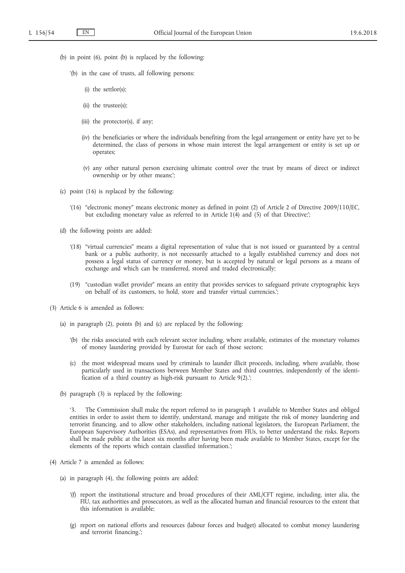- (b) in point (6), point (b) is replaced by the following:
	- '(b) in the case of trusts, all following persons:
		- (i) the settlor(s);
		- (ii) the trustee(s);
		- (iii) the protector(s), if any;
		- (iv) the beneficiaries or where the individuals benefiting from the legal arrangement or entity have yet to be determined, the class of persons in whose main interest the legal arrangement or entity is set up or operates;
		- (v) any other natural person exercising ultimate control over the trust by means of direct or indirect ownership or by other means;';
- (c) point (16) is replaced by the following:
	- '(16) "electronic money" means electronic money as defined in point (2) of Article 2 of Directive 2009/110/EC, but excluding monetary value as referred to in Article  $1(4)$  and (5) of that Directive;;
- (d) the following points are added:
	- '(18) "virtual currencies" means a digital representation of value that is not issued or guaranteed by a central bank or a public authority, is not necessarily attached to a legally established currency and does not possess a legal status of currency or money, but is accepted by natural or legal persons as a means of exchange and which can be transferred, stored and traded electronically;
	- (19) "custodian wallet provider" means an entity that provides services to safeguard private cryptographic keys on behalf of its customers, to hold, store and transfer virtual currencies.';
- (3) Article 6 is amended as follows:
	- (a) in paragraph (2), points (b) and (c) are replaced by the following:
		- '(b) the risks associated with each relevant sector including, where available, estimates of the monetary volumes of money laundering provided by Eurostat for each of those sectors;
		- (c) the most widespread means used by criminals to launder illicit proceeds, including, where available, those particularly used in transactions between Member States and third countries, independently of the identification of a third country as high-risk pursuant to Article 9(2).';
	- (b) paragraph (3) is replaced by the following:

'3. The Commission shall make the report referred to in paragraph 1 available to Member States and obliged entities in order to assist them to identify, understand, manage and mitigate the risk of money laundering and terrorist financing, and to allow other stakeholders, including national legislators, the European Parliament, the European Supervisory Authorities (ESAs), and representatives from FIUs, to better understand the risks. Reports shall be made public at the latest six months after having been made available to Member States, except for the elements of the reports which contain classified information.';

- (4) Article 7 is amended as follows:
	- (a) in paragraph (4), the following points are added:
		- '(f) report the institutional structure and broad procedures of their AML/CFT regime, including, inter alia, the FIU, tax authorities and prosecutors, as well as the allocated human and financial resources to the extent that this information is available;
		- (g) report on national efforts and resources (labour forces and budget) allocated to combat money laundering and terrorist financing.';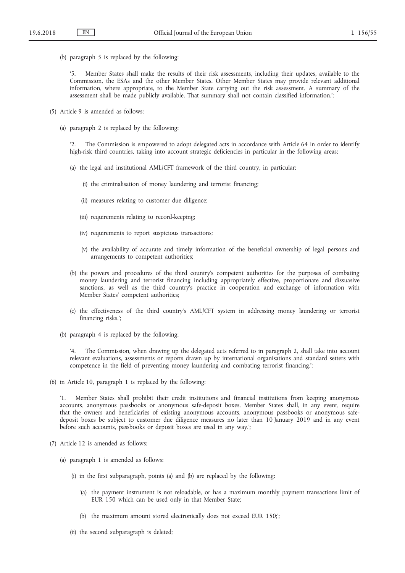(b) paragraph 5 is replaced by the following:

'5. Member States shall make the results of their risk assessments, including their updates, available to the Commission, the ESAs and the other Member States. Other Member States may provide relevant additional information, where appropriate, to the Member State carrying out the risk assessment. A summary of the assessment shall be made publicly available. That summary shall not contain classified information.';

- (5) Article 9 is amended as follows:
	- (a) paragraph 2 is replaced by the following:

'2. The Commission is empowered to adopt delegated acts in accordance with Article 64 in order to identify high-risk third countries, taking into account strategic deficiencies in particular in the following areas:

- (a) the legal and institutional AML/CFT framework of the third country, in particular:
	- (i) the criminalisation of money laundering and terrorist financing;
	- (ii) measures relating to customer due diligence;
	- (iii) requirements relating to record-keeping;
	- (iv) requirements to report suspicious transactions;
	- (v) the availability of accurate and timely information of the beneficial ownership of legal persons and arrangements to competent authorities;
- (b) the powers and procedures of the third country's competent authorities for the purposes of combating money laundering and terrorist financing including appropriately effective, proportionate and dissuasive sanctions, as well as the third country's practice in cooperation and exchange of information with Member States' competent authorities;
- (c) the effectiveness of the third country's AML/CFT system in addressing money laundering or terrorist financing risks.';
- (b) paragraph 4 is replaced by the following:

The Commission, when drawing up the delegated acts referred to in paragraph 2, shall take into account relevant evaluations, assessments or reports drawn up by international organisations and standard setters with competence in the field of preventing money laundering and combating terrorist financing.';

(6) in Article 10, paragraph 1 is replaced by the following:

'1. Member States shall prohibit their credit institutions and financial institutions from keeping anonymous accounts, anonymous passbooks or anonymous safe-deposit boxes. Member States shall, in any event, require that the owners and beneficiaries of existing anonymous accounts, anonymous passbooks or anonymous safedeposit boxes be subject to customer due diligence measures no later than 10 January 2019 and in any event before such accounts, passbooks or deposit boxes are used in any way.';

- (7) Article 12 is amended as follows:
	- (a) paragraph 1 is amended as follows:
		- (i) in the first subparagraph, points (a) and (b) are replaced by the following:
			- '(a) the payment instrument is not reloadable, or has a maximum monthly payment transactions limit of EUR 150 which can be used only in that Member State;
			- (b) the maximum amount stored electronically does not exceed EUR 150;';
		- (ii) the second subparagraph is deleted;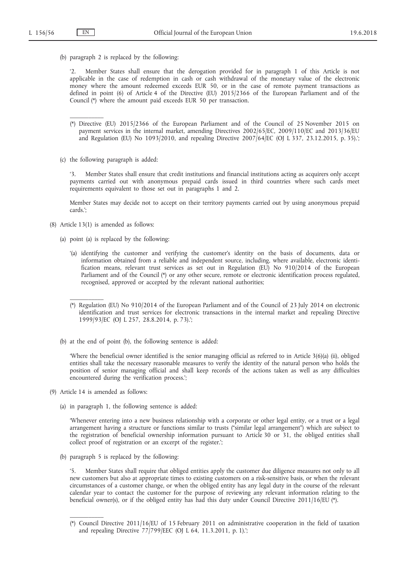$\mathcal{L}=\mathcal{L}$ 

(b) paragraph 2 is replaced by the following:

'2. Member States shall ensure that the derogation provided for in paragraph 1 of this Article is not applicable in the case of redemption in cash or cash withdrawal of the monetary value of the electronic money where the amount redeemed exceeds EUR 50, or in the case of remote payment transactions as defined in point (6) of Article 4 of the Directive (EU) 2015/2366 of the European Parliament and of the Council (\*) where the amount paid exceeds EUR 50 per transaction.

- (\*) Directive (EU) 2015/2366 of the European Parliament and of the Council of 25 November 2015 on payment services in the internal market, amending Directives 2002/65/EC, 2009/110/EC and 2013/36/EU and Regulation (EU) No 1093/2010, and repealing Directive 2007/64/EC (OJ L 337, 23.12.2015, p. 35).';
- (c) the following paragraph is added:

'3. Member States shall ensure that credit institutions and financial institutions acting as acquirers only accept payments carried out with anonymous prepaid cards issued in third countries where such cards meet requirements equivalent to those set out in paragraphs 1 and 2.

Member States may decide not to accept on their territory payments carried out by using anonymous prepaid cards.';

- (8) Article 13(1) is amended as follows:
	- (a) point (a) is replaced by the following:
		- '(a) identifying the customer and verifying the customer's identity on the basis of documents, data or information obtained from a reliable and independent source, including, where available, electronic identification means, relevant trust services as set out in Regulation (EU) No 910/2014 of the European Parliament and of the Council (\*) or any other secure, remote or electronic identification process regulated, recognised, approved or accepted by the relevant national authorities;
		- (\*) Regulation (EU) No 910/2014 of the European Parliament and of the Council of 23 July 2014 on electronic identification and trust services for electronic transactions in the internal market and repealing Directive 1999/93/EC (OJ L 257, 28.8.2014, p. 73).';
	- (b) at the end of point (b), the following sentence is added:

'Where the beneficial owner identified is the senior managing official as referred to in Article 3(6)(a) (ii), obliged entities shall take the necessary reasonable measures to verify the identity of the natural person who holds the position of senior managing official and shall keep records of the actions taken as well as any difficulties encountered during the verification process.';

- (9) Article 14 is amended as follows:
	- (a) in paragraph 1, the following sentence is added:

'Whenever entering into a new business relationship with a corporate or other legal entity, or a trust or a legal arrangement having a structure or functions similar to trusts ("similar legal arrangement") which are subject to the registration of beneficial ownership information pursuant to Article 30 or 31, the obliged entities shall collect proof of registration or an excerpt of the register.';

(b) paragraph 5 is replaced by the following:

'5. Member States shall require that obliged entities apply the customer due diligence measures not only to all new customers but also at appropriate times to existing customers on a risk-sensitive basis, or when the relevant circumstances of a customer change, or when the obliged entity has any legal duty in the course of the relevant calendar year to contact the customer for the purpose of reviewing any relevant information relating to the beneficial owner(s), or if the obliged entity has had this duty under Council Directive 2011/16/EU (\*).

<sup>(\*)</sup> Council Directive 2011/16/EU of 15 February 2011 on administrative cooperation in the field of taxation and repealing Directive 77/799/EEC (OJ L 64, 11.3.2011, p. 1).';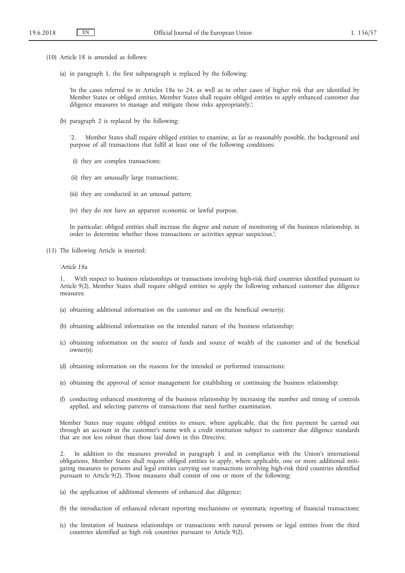- (10) Article 18 is amended as follows:
	- (a) in paragraph 1, the first subparagraph is replaced by the following:

'In the cases referred to in Articles 18a to 24, as well as in other cases of higher risk that are identified by Member States or obliged entities, Member States shall require obliged entities to apply enhanced customer due diligence measures to manage and mitigate those risks appropriately.';

(b) paragraph 2 is replaced by the following:

'2. Member States shall require obliged entities to examine, as far as reasonably possible, the background and purpose of all transactions that fulfil at least one of the following conditions:

- (i) they are complex transactions;
- (ii) they are unusually large transactions;
- (iii) they are conducted in an unusual pattern;
- (iv) they do not have an apparent economic or lawful purpose.

In particular, obliged entities shall increase the degree and nature of monitoring of the business relationship, in order to determine whether those transactions or activities appear suspicious.';

(11) The following Article is inserted:

*'Article 18a*

1. With respect to business relationships or transactions involving high-risk third countries identified pursuant to Article 9(2), Member States shall require obliged entities to apply the following enhanced customer due diligence measures:

- (a) obtaining additional information on the customer and on the beneficial owner(s);
- (b) obtaining additional information on the intended nature of the business relationship;
- (c) obtaining information on the source of funds and source of wealth of the customer and of the beneficial owner(s);
- (d) obtaining information on the reasons for the intended or performed transactions;
- (e) obtaining the approval of senior management for establishing or continuing the business relationship;
- (f) conducting enhanced monitoring of the business relationship by increasing the number and timing of controls applied, and selecting patterns of transactions that need further examination.

Member States may require obliged entities to ensure, where applicable, that the first payment be carried out through an account in the customer's name with a credit institution subject to customer due diligence standards that are not less robust than those laid down in this Directive.

2. In addition to the measures provided in paragraph 1 and in compliance with the Union's international obligations, Member States shall require obliged entities to apply, where applicable, one or more additional mitigating measures to persons and legal entities carrying out transactions involving high-risk third countries identified pursuant to Article 9(2). Those measures shall consist of one or more of the following:

- (a) the application of additional elements of enhanced due diligence;
- (b) the introduction of enhanced relevant reporting mechanisms or systematic reporting of financial transactions;
- (c) the limitation of business relationships or transactions with natural persons or legal entities from the third countries identified as high risk countries pursuant to Article 9(2).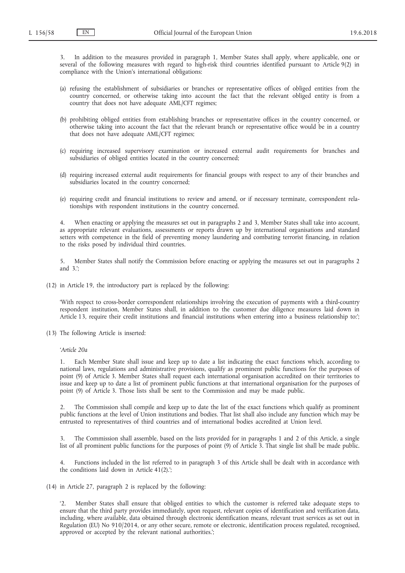3. In addition to the measures provided in paragraph 1, Member States shall apply, where applicable, one or several of the following measures with regard to high-risk third countries identified pursuant to Article 9(2) in compliance with the Union's international obligations:

- (a) refusing the establishment of subsidiaries or branches or representative offices of obliged entities from the country concerned, or otherwise taking into account the fact that the relevant obliged entity is from a country that does not have adequate AML/CFT regimes;
- (b) prohibiting obliged entities from establishing branches or representative offices in the country concerned, or otherwise taking into account the fact that the relevant branch or representative office would be in a country that does not have adequate AML/CFT regimes;
- (c) requiring increased supervisory examination or increased external audit requirements for branches and subsidiaries of obliged entities located in the country concerned;
- (d) requiring increased external audit requirements for financial groups with respect to any of their branches and subsidiaries located in the country concerned;
- (e) requiring credit and financial institutions to review and amend, or if necessary terminate, correspondent relationships with respondent institutions in the country concerned.

4. When enacting or applying the measures set out in paragraphs 2 and 3, Member States shall take into account, as appropriate relevant evaluations, assessments or reports drawn up by international organisations and standard setters with competence in the field of preventing money laundering and combating terrorist financing, in relation to the risks posed by individual third countries.

5. Member States shall notify the Commission before enacting or applying the measures set out in paragraphs 2 and 3.';

(12) in Article 19, the introductory part is replaced by the following:

'With respect to cross-border correspondent relationships involving the execution of payments with a third-country respondent institution, Member States shall, in addition to the customer due diligence measures laid down in Article 13, require their credit institutions and financial institutions when entering into a business relationship to:';

(13) The following Article is inserted:

*'Article 20a*

1. Each Member State shall issue and keep up to date a list indicating the exact functions which, according to national laws, regulations and administrative provisions, qualify as prominent public functions for the purposes of point (9) of Article 3. Member States shall request each international organisation accredited on their territories to issue and keep up to date a list of prominent public functions at that international organisation for the purposes of point (9) of Article 3. Those lists shall be sent to the Commission and may be made public.

The Commission shall compile and keep up to date the list of the exact functions which qualify as prominent public functions at the level of Union institutions and bodies. That list shall also include any function which may be entrusted to representatives of third countries and of international bodies accredited at Union level.

3. The Commission shall assemble, based on the lists provided for in paragraphs 1 and 2 of this Article, a single list of all prominent public functions for the purposes of point (9) of Article 3. That single list shall be made public.

4. Functions included in the list referred to in paragraph 3 of this Article shall be dealt with in accordance with the conditions laid down in Article 41(2).';

(14) in Article 27, paragraph 2 is replaced by the following:

'2. Member States shall ensure that obliged entities to which the customer is referred take adequate steps to ensure that the third party provides immediately, upon request, relevant copies of identification and verification data, including, where available, data obtained through electronic identification means, relevant trust services as set out in Regulation (EU) No 910/2014, or any other secure, remote or electronic, identification process regulated, recognised, approved or accepted by the relevant national authorities.';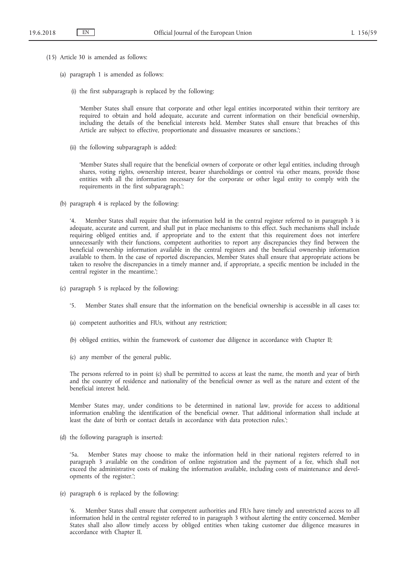- (15) Article 30 is amended as follows:
	- (a) paragraph 1 is amended as follows:
		- (i) the first subparagraph is replaced by the following:

'Member States shall ensure that corporate and other legal entities incorporated within their territory are required to obtain and hold adequate, accurate and current information on their beneficial ownership, including the details of the beneficial interests held. Member States shall ensure that breaches of this Article are subject to effective, proportionate and dissuasive measures or sanctions.';

(ii) the following subparagraph is added:

'Member States shall require that the beneficial owners of corporate or other legal entities, including through shares, voting rights, ownership interest, bearer shareholdings or control via other means, provide those entities with all the information necessary for the corporate or other legal entity to comply with the requirements in the first subparagraph.';

(b) paragraph 4 is replaced by the following:

'4. Member States shall require that the information held in the central register referred to in paragraph 3 is adequate, accurate and current, and shall put in place mechanisms to this effect. Such mechanisms shall include requiring obliged entities and, if appropriate and to the extent that this requirement does not interfere unnecessarily with their functions, competent authorities to report any discrepancies they find between the beneficial ownership information available in the central registers and the beneficial ownership information available to them. In the case of reported discrepancies, Member States shall ensure that appropriate actions be taken to resolve the discrepancies in a timely manner and, if appropriate, a specific mention be included in the central register in the meantime.';

- (c) paragraph 5 is replaced by the following:
	- '5. Member States shall ensure that the information on the beneficial ownership is accessible in all cases to:
	- (a) competent authorities and FIUs, without any restriction;
	- (b) obliged entities, within the framework of customer due diligence in accordance with Chapter II;
	- (c) any member of the general public.

The persons referred to in point (c) shall be permitted to access at least the name, the month and year of birth and the country of residence and nationality of the beneficial owner as well as the nature and extent of the beneficial interest held.

Member States may, under conditions to be determined in national law, provide for access to additional information enabling the identification of the beneficial owner. That additional information shall include at least the date of birth or contact details in accordance with data protection rules.';

(d) the following paragraph is inserted:

'5a. Member States may choose to make the information held in their national registers referred to in paragraph 3 available on the condition of online registration and the payment of a fee, which shall not exceed the administrative costs of making the information available, including costs of maintenance and developments of the register.';

(e) paragraph 6 is replaced by the following:

'6. Member States shall ensure that competent authorities and FIUs have timely and unrestricted access to all information held in the central register referred to in paragraph 3 without alerting the entity concerned. Member States shall also allow timely access by obliged entities when taking customer due diligence measures in accordance with Chapter II.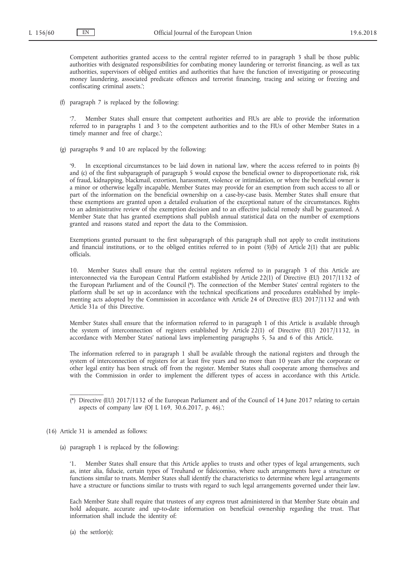Competent authorities granted access to the central register referred to in paragraph 3 shall be those public authorities with designated responsibilities for combating money laundering or terrorist financing, as well as tax authorities, supervisors of obliged entities and authorities that have the function of investigating or prosecuting money laundering, associated predicate offences and terrorist financing, tracing and seizing or freezing and confiscating criminal assets.';

(f) paragraph 7 is replaced by the following:

'7. Member States shall ensure that competent authorities and FIUs are able to provide the information referred to in paragraphs 1 and 3 to the competent authorities and to the FIUs of other Member States in a timely manner and free of charge.';

(g) paragraphs 9 and 10 are replaced by the following:

In exceptional circumstances to be laid down in national law, where the access referred to in points (b) and (c) of the first subparagraph of paragraph 5 would expose the beneficial owner to disproportionate risk, risk of fraud, kidnapping, blackmail, extortion, harassment, violence or intimidation, or where the beneficial owner is a minor or otherwise legally incapable, Member States may provide for an exemption from such access to all or part of the information on the beneficial ownership on a case-by-case basis. Member States shall ensure that these exemptions are granted upon a detailed evaluation of the exceptional nature of the circumstances. Rights to an administrative review of the exemption decision and to an effective judicial remedy shall be guaranteed. A Member State that has granted exemptions shall publish annual statistical data on the number of exemptions granted and reasons stated and report the data to the Commission.

Exemptions granted pursuant to the first subparagraph of this paragraph shall not apply to credit institutions and financial institutions, or to the obliged entities referred to in point (3)(b) of Article 2(1) that are public officials.

10. Member States shall ensure that the central registers referred to in paragraph 3 of this Article are interconnected via the European Central Platform established by Article 22(1) of Directive (EU) 2017/1132 of the European Parliament and of the Council (\*). The connection of the Member States' central registers to the platform shall be set up in accordance with the technical specifications and procedures established by implementing acts adopted by the Commission in accordance with Article 24 of Directive (EU) 2017/1132 and with Article 31a of this Directive.

Member States shall ensure that the information referred to in paragraph 1 of this Article is available through the system of interconnection of registers established by Article 22(1) of Directive (EU) 2017/1132, in accordance with Member States' national laws implementing paragraphs 5, 5a and 6 of this Article.

The information referred to in paragraph 1 shall be available through the national registers and through the system of interconnection of registers for at least five years and no more than 10 years after the corporate or other legal entity has been struck off from the register. Member States shall cooperate among themselves and with the Commission in order to implement the different types of access in accordance with this Article.

(16) Article 31 is amended as follows:

 $\mathcal{L}=\mathcal{L}$ 

(a) paragraph 1 is replaced by the following:

'1. Member States shall ensure that this Article applies to trusts and other types of legal arrangements, such as, inter alia, fiducie, certain types of Treuhand or fideicomiso, where such arrangements have a structure or functions similar to trusts. Member States shall identify the characteristics to determine where legal arrangements have a structure or functions similar to trusts with regard to such legal arrangements governed under their law.

Each Member State shall require that trustees of any express trust administered in that Member State obtain and hold adequate, accurate and up-to-date information on beneficial ownership regarding the trust. That information shall include the identity of:

(a) the settlor(s);

<sup>(\*)</sup> Directive (EU) 2017/1132 of the European Parliament and of the Council of 14 June 2017 relating to certain aspects of company law (OJ L 169, 30.6.2017, p. 46).';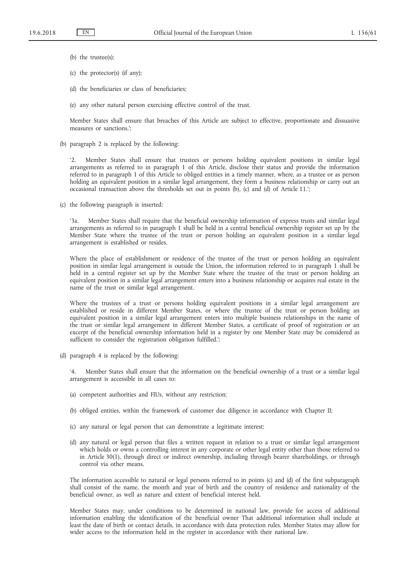(b) the trustee(s):

- (c) the protector(s) (if any);
- (d) the beneficiaries or class of beneficiaries;
- (e) any other natural person exercising effective control of the trust.

Member States shall ensure that breaches of this Article are subject to effective, proportionate and dissuasive measures or sanctions.';

(b) paragraph 2 is replaced by the following:

'2. Member States shall ensure that trustees or persons holding equivalent positions in similar legal arrangements as referred to in paragraph 1 of this Article, disclose their status and provide the information referred to in paragraph 1 of this Article to obliged entities in a timely manner, where, as a trustee or as person holding an equivalent position in a similar legal arrangement, they form a business relationship or carry out an occasional transaction above the thresholds set out in points (b), (c) and (d) of Article 11.';

(c) the following paragraph is inserted:

'3a. Member States shall require that the beneficial ownership information of express trusts and similar legal arrangements as referred to in paragraph 1 shall be held in a central beneficial ownership register set up by the Member State where the trustee of the trust or person holding an equivalent position in a similar legal arrangement is established or resides.

Where the place of establishment or residence of the trustee of the trust or person holding an equivalent position in similar legal arrangement is outside the Union, the information referred to in paragraph 1 shall be held in a central register set up by the Member State where the trustee of the trust or person holding an equivalent position in a similar legal arrangement enters into a business relationship or acquires real estate in the name of the trust or similar legal arrangement.

Where the trustees of a trust or persons holding equivalent positions in a similar legal arrangement are established or reside in different Member States, or where the trustee of the trust or person holding an equivalent position in a similar legal arrangement enters into multiple business relationships in the name of the trust or similar legal arrangement in different Member States, a certificate of proof of registration or an excerpt of the beneficial ownership information held in a register by one Member State may be considered as sufficient to consider the registration obligation fulfilled.';

(d) paragraph 4 is replaced by the following:

'4. Member States shall ensure that the information on the beneficial ownership of a trust or a similar legal arrangement is accessible in all cases to:

- (a) competent authorities and FIUs, without any restriction;
- (b) obliged entities, within the framework of customer due diligence in accordance with Chapter II;
- (c) any natural or legal person that can demonstrate a legitimate interest;
- (d) any natural or legal person that files a written request in relation to a trust or similar legal arrangement which holds or owns a controlling interest in any corporate or other legal entity other than those referred to in Article 30(1), through direct or indirect ownership, including through bearer shareholdings, or through control via other means.

The information accessible to natural or legal persons referred to in points (c) and (d) of the first subparagraph shall consist of the name, the month and year of birth and the country of residence and nationality of the beneficial owner, as well as nature and extent of beneficial interest held.

Member States may, under conditions to be determined in national law, provide for access of additional information enabling the identification of the beneficial owner That additional information shall include at least the date of birth or contact details, in accordance with data protection rules. Member States may allow for wider access to the information held in the register in accordance with their national law.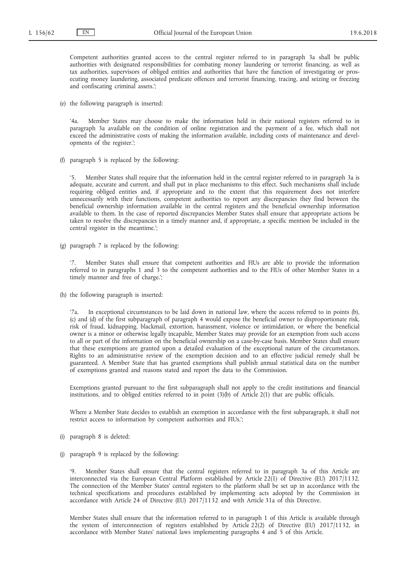Competent authorities granted access to the central register referred to in paragraph 3a shall be public authorities with designated responsibilities for combating money laundering or terrorist financing, as well as tax authorities, supervisors of obliged entities and authorities that have the function of investigating or prosecuting money laundering, associated predicate offences and terrorist financing, tracing, and seizing or freezing and confiscating criminal assets.';

(e) the following paragraph is inserted:

'4a. Member States may choose to make the information held in their national registers referred to in paragraph 3a available on the condition of online registration and the payment of a fee, which shall not exceed the administrative costs of making the information available, including costs of maintenance and developments of the register.';

(f) paragraph 5 is replaced by the following:

'5. Member States shall require that the information held in the central register referred to in paragraph 3a is adequate, accurate and current, and shall put in place mechanisms to this effect. Such mechanisms shall include requiring obliged entities and, if appropriate and to the extent that this requirement does not interfere unnecessarily with their functions, competent authorities to report any discrepancies they find between the beneficial ownership information available in the central registers and the beneficial ownership information available to them. In the case of reported discrepancies Member States shall ensure that appropriate actions be taken to resolve the discrepancies in a timely manner and, if appropriate, a specific mention be included in the central register in the meantime.';

(g) paragraph 7 is replaced by the following:

'7. Member States shall ensure that competent authorities and FIUs are able to provide the information referred to in paragraphs 1 and 3 to the competent authorities and to the FIUs of other Member States in a timely manner and free of charge.';

(h) the following paragraph is inserted:

'7a. In exceptional circumstances to be laid down in national law, where the access referred to in points (b), (c) and (d) of the first subparagraph of paragraph 4 would expose the beneficial owner to disproportionate risk, risk of fraud, kidnapping, blackmail, extortion, harassment, violence or intimidation, or where the beneficial owner is a minor or otherwise legally incapable, Member States may provide for an exemption from such access to all or part of the information on the beneficial ownership on a case-by-case basis. Member States shall ensure that these exemptions are granted upon a detailed evaluation of the exceptional nature of the circumstances. Rights to an administrative review of the exemption decision and to an effective judicial remedy shall be guaranteed. A Member State that has granted exemptions shall publish annual statistical data on the number of exemptions granted and reasons stated and report the data to the Commission.

Exemptions granted pursuant to the first subparagraph shall not apply to the credit institutions and financial institutions, and to obliged entities referred to in point (3)(b) of Article 2(1) that are public officials.

Where a Member State decides to establish an exemption in accordance with the first subparagraph, it shall not restrict access to information by competent authorities and FIUs.';

- (i) paragraph 8 is deleted;
- (j) paragraph 9 is replaced by the following:

'9. Member States shall ensure that the central registers referred to in paragraph 3a of this Article are interconnected via the European Central Platform established by Article 22(1) of Directive (EU) 2017/1132. The connection of the Member States' central registers to the platform shall be set up in accordance with the technical specifications and procedures established by implementing acts adopted by the Commission in accordance with Article 24 of Directive (EU) 2017/1132 and with Article 31a of this Directive.

Member States shall ensure that the information referred to in paragraph 1 of this Article is available through the system of interconnection of registers established by Article 22(2) of Directive (EU) 2017/1132, in accordance with Member States' national laws implementing paragraphs 4 and 5 of this Article.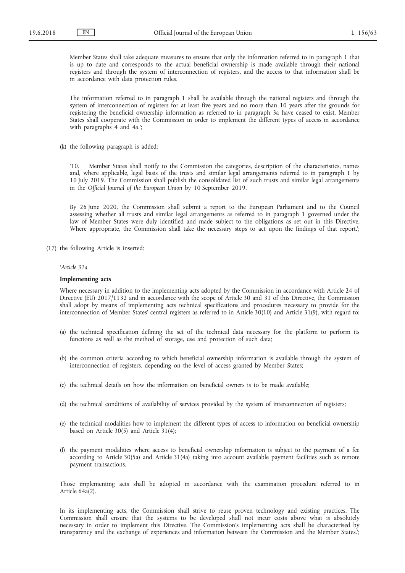Member States shall take adequate measures to ensure that only the information referred to in paragraph 1 that is up to date and corresponds to the actual beneficial ownership is made available through their national registers and through the system of interconnection of registers, and the access to that information shall be in accordance with data protection rules.

The information referred to in paragraph 1 shall be available through the national registers and through the system of interconnection of registers for at least five years and no more than 10 years after the grounds for registering the beneficial ownership information as referred to in paragraph 3a have ceased to exist. Member States shall cooperate with the Commission in order to implement the different types of access in accordance with paragraphs 4 and 4a.';

(k) the following paragraph is added:

'10. Member States shall notify to the Commission the categories, description of the characteristics, names and, where applicable, legal basis of the trusts and similar legal arrangements referred to in paragraph 1 by 10 July 2019. The Commission shall publish the consolidated list of such trusts and similar legal arrangements in the *Official Journal of the European Union* by 10 September 2019.

By 26 June 2020, the Commission shall submit a report to the European Parliament and to the Council assessing whether all trusts and similar legal arrangements as referred to in paragraph 1 governed under the law of Member States were duly identified and made subject to the obligations as set out in this Directive. Where appropriate, the Commission shall take the necessary steps to act upon the findings of that report.';

(17) the following Article is inserted:

#### *'Article 31a*

#### **Implementing acts**

Where necessary in addition to the implementing acts adopted by the Commission in accordance with Article 24 of Directive (EU) 2017/1132 and in accordance with the scope of Article 30 and 31 of this Directive, the Commission shall adopt by means of implementing acts technical specifications and procedures necessary to provide for the interconnection of Member States' central registers as referred to in Article 30(10) and Article 31(9), with regard to:

- (a) the technical specification defining the set of the technical data necessary for the platform to perform its functions as well as the method of storage, use and protection of such data;
- (b) the common criteria according to which beneficial ownership information is available through the system of interconnection of registers, depending on the level of access granted by Member States;
- (c) the technical details on how the information on beneficial owners is to be made available;
- (d) the technical conditions of availability of services provided by the system of interconnection of registers;
- (e) the technical modalities how to implement the different types of access to information on beneficial ownership based on Article 30(5) and Article 31(4);
- (f) the payment modalities where access to beneficial ownership information is subject to the payment of a fee according to Article 30(5a) and Article 31(4a) taking into account available payment facilities such as remote payment transactions.

Those implementing acts shall be adopted in accordance with the examination procedure referred to in Article 64a(2).

In its implementing acts, the Commission shall strive to reuse proven technology and existing practices. The Commission shall ensure that the systems to be developed shall not incur costs above what is absolutely necessary in order to implement this Directive. The Commission's implementing acts shall be characterised by transparency and the exchange of experiences and information between the Commission and the Member States.';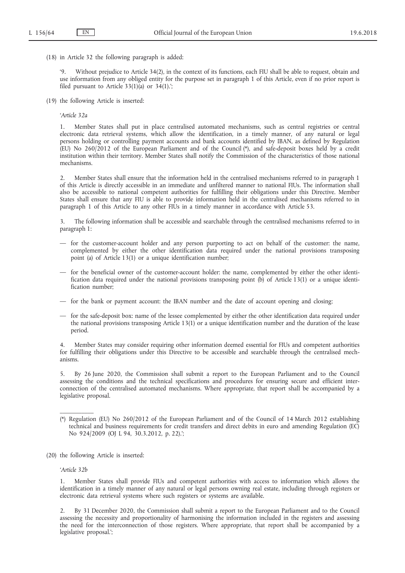(18) in Article 32 the following paragraph is added:

Without prejudice to Article 34(2), in the context of its functions, each FIU shall be able to request, obtain and use information from any obliged entity for the purpose set in paragraph 1 of this Article, even if no prior report is filed pursuant to Article  $33(1)(a)$  or  $34(1)$ .

(19) the following Article is inserted:

*'Article 32a*

1. Member States shall put in place centralised automated mechanisms, such as central registries or central electronic data retrieval systems, which allow the identification, in a timely manner, of any natural or legal persons holding or controlling payment accounts and bank accounts identified by IBAN, as defined by Regulation (EU) No 260/2012 of the European Parliament and of the Council (\*), and safe-deposit boxes held by a credit institution within their territory. Member States shall notify the Commission of the characteristics of those national mechanisms.

2. Member States shall ensure that the information held in the centralised mechanisms referred to in paragraph 1 of this Article is directly accessible in an immediate and unfiltered manner to national FIUs. The information shall also be accessible to national competent authorities for fulfilling their obligations under this Directive. Member States shall ensure that any FIU is able to provide information held in the centralised mechanisms referred to in paragraph 1 of this Article to any other FIUs in a timely manner in accordance with Article 53.

3. The following information shall be accessible and searchable through the centralised mechanisms referred to in paragraph 1:

- for the customer-account holder and any person purporting to act on behalf of the customer: the name, complemented by either the other identification data required under the national provisions transposing point (a) of Article 13(1) or a unique identification number;
- for the beneficial owner of the customer-account holder: the name, complemented by either the other identification data required under the national provisions transposing point (b) of Article 13(1) or a unique identification number;
- for the bank or payment account: the IBAN number and the date of account opening and closing;
- for the safe-deposit box: name of the lessee complemented by either the other identification data required under the national provisions transposing Article 13(1) or a unique identification number and the duration of the lease period.

4. Member States may consider requiring other information deemed essential for FIUs and competent authorities for fulfilling their obligations under this Directive to be accessible and searchable through the centralised mechanisms.

5. By 26 June 2020, the Commission shall submit a report to the European Parliament and to the Council assessing the conditions and the technical specifications and procedures for ensuring secure and efficient interconnection of the centralised automated mechanisms. Where appropriate, that report shall be accompanied by a legislative proposal.

- (\*) Regulation (EU) No 260/2012 of the European Parliament and of the Council of 14 March 2012 establishing technical and business requirements for credit transfers and direct debits in euro and amending Regulation (EC) No 924/2009 (OJ L 94, 30.3.2012, p. 22).';
- (20) the following Article is inserted:

*'Article 32b*

 $\frac{1}{2}$ 

1. Member States shall provide FIUs and competent authorities with access to information which allows the identification in a timely manner of any natural or legal persons owning real estate, including through registers or electronic data retrieval systems where such registers or systems are available.

2. By 31 December 2020, the Commission shall submit a report to the European Parliament and to the Council assessing the necessity and proportionality of harmonising the information included in the registers and assessing the need for the interconnection of those registers. Where appropriate, that report shall be accompanied by a legislative proposal.';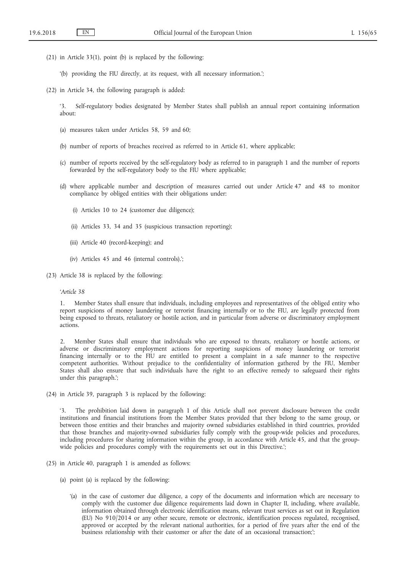- (21) in Article 33(1), point (b) is replaced by the following:
	- '(b) providing the FIU directly, at its request, with all necessary information.';
- (22) in Article 34, the following paragraph is added:

'3. Self-regulatory bodies designated by Member States shall publish an annual report containing information about:

- (a) measures taken under Articles 58, 59 and 60;
- (b) number of reports of breaches received as referred to in Article 61, where applicable;
- (c) number of reports received by the self-regulatory body as referred to in paragraph 1 and the number of reports forwarded by the self-regulatory body to the FIU where applicable;
- (d) where applicable number and description of measures carried out under Article 47 and 48 to monitor compliance by obliged entities with their obligations under:
	- (i) Articles 10 to 24 (customer due diligence);
	- (ii) Articles 33, 34 and 35 (suspicious transaction reporting);
	- (iii) Article 40 (record-keeping); and
	- (iv) Articles 45 and 46 (internal controls).';
- (23) Article 38 is replaced by the following:

#### *'Article 38*

1. Member States shall ensure that individuals, including employees and representatives of the obliged entity who report suspicions of money laundering or terrorist financing internally or to the FIU, are legally protected from being exposed to threats, retaliatory or hostile action, and in particular from adverse or discriminatory employment actions.

2. Member States shall ensure that individuals who are exposed to threats, retaliatory or hostile actions, or adverse or discriminatory employment actions for reporting suspicions of money laundering or terrorist financing internally or to the FIU are entitled to present a complaint in a safe manner to the respective competent authorities. Without prejudice to the confidentiality of information gathered by the FIU, Member States shall also ensure that such individuals have the right to an effective remedy to safeguard their rights under this paragraph.';

(24) in Article 39, paragraph 3 is replaced by the following:

'3. The prohibition laid down in paragraph 1 of this Article shall not prevent disclosure between the credit institutions and financial institutions from the Member States provided that they belong to the same group, or between those entities and their branches and majority owned subsidiaries established in third countries, provided that those branches and majority-owned subsidiaries fully comply with the group-wide policies and procedures, including procedures for sharing information within the group, in accordance with Article 45, and that the groupwide policies and procedures comply with the requirements set out in this Directive.';

- (25) in Article 40, paragraph 1 is amended as follows:
	- (a) point (a) is replaced by the following:
		- '(a) in the case of customer due diligence, a copy of the documents and information which are necessary to comply with the customer due diligence requirements laid down in Chapter II, including, where available, information obtained through electronic identification means, relevant trust services as set out in Regulation (EU) No 910/2014 or any other secure, remote or electronic, identification process regulated, recognised, approved or accepted by the relevant national authorities, for a period of five years after the end of the business relationship with their customer or after the date of an occasional transaction;';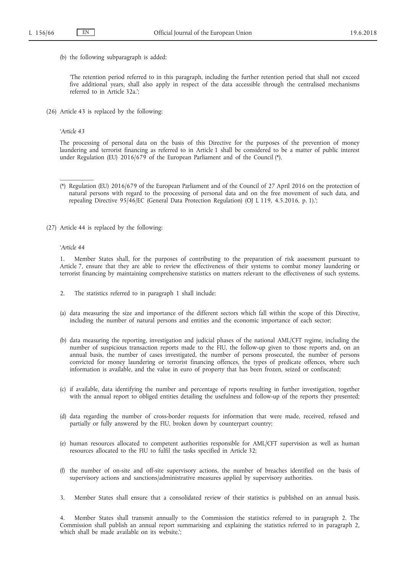(b) the following subparagraph is added:

'The retention period referred to in this paragraph, including the further retention period that shall not exceed five additional years, shall also apply in respect of the data accessible through the centralised mechanisms referred to in Article 32a.';

(26) Article 43 is replaced by the following:

*'Article 43*

The processing of personal data on the basis of this Directive for the purposes of the prevention of money laundering and terrorist financing as referred to in Article 1 shall be considered to be a matter of public interest under Regulation (EU) 2016/679 of the European Parliament and of the Council (\*).

(27) Article 44 is replaced by the following:

*'Article 44*

1. Member States shall, for the purposes of contributing to the preparation of risk assessment pursuant to Article 7, ensure that they are able to review the effectiveness of their systems to combat money laundering or terrorist financing by maintaining comprehensive statistics on matters relevant to the effectiveness of such systems.

- 2. The statistics referred to in paragraph 1 shall include:
- (a) data measuring the size and importance of the different sectors which fall within the scope of this Directive, including the number of natural persons and entities and the economic importance of each sector;
- (b) data measuring the reporting, investigation and judicial phases of the national AML/CFT regime, including the number of suspicious transaction reports made to the FIU, the follow-up given to those reports and, on an annual basis, the number of cases investigated, the number of persons prosecuted, the number of persons convicted for money laundering or terrorist financing offences, the types of predicate offences, where such information is available, and the value in euro of property that has been frozen, seized or confiscated;
- (c) if available, data identifying the number and percentage of reports resulting in further investigation, together with the annual report to obliged entities detailing the usefulness and follow-up of the reports they presented;
- (d) data regarding the number of cross-border requests for information that were made, received, refused and partially or fully answered by the FIU, broken down by counterpart country;
- (e) human resources allocated to competent authorities responsible for AML/CFT supervision as well as human resources allocated to the FIU to fulfil the tasks specified in Article 32;
- (f) the number of on-site and off-site supervisory actions, the number of breaches identified on the basis of supervisory actions and sanctions/administrative measures applied by supervisory authorities.
- 3. Member States shall ensure that a consolidated review of their statistics is published on an annual basis.

4. Member States shall transmit annually to the Commission the statistics referred to in paragraph 2. The Commission shall publish an annual report summarising and explaining the statistics referred to in paragraph 2, which shall be made available on its website.';

<sup>(\*)</sup> Regulation (EU) 2016/679 of the European Parliament and of the Council of 27 April 2016 on the protection of natural persons with regard to the processing of personal data and on the free movement of such data, and repealing Directive 95/46/EC (General Data Protection Regulation) (OJ L 119, 4.5.2016, p. 1).';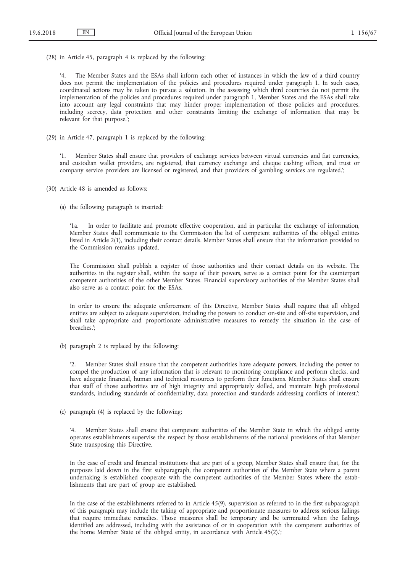(28) in Article 45, paragraph 4 is replaced by the following:

'4. The Member States and the ESAs shall inform each other of instances in which the law of a third country does not permit the implementation of the policies and procedures required under paragraph 1. In such cases, coordinated actions may be taken to pursue a solution. In the assessing which third countries do not permit the implementation of the policies and procedures required under paragraph 1, Member States and the ESAs shall take into account any legal constraints that may hinder proper implementation of those policies and procedures, including secrecy, data protection and other constraints limiting the exchange of information that may be relevant for that purpose.';

(29) in Article 47, paragraph 1 is replaced by the following:

'1. Member States shall ensure that providers of exchange services between virtual currencies and fiat currencies, and custodian wallet providers, are registered, that currency exchange and cheque cashing offices, and trust or company service providers are licensed or registered, and that providers of gambling services are regulated.';

(30) Article 48 is amended as follows:

(a) the following paragraph is inserted:

'1a. In order to facilitate and promote effective cooperation, and in particular the exchange of information, Member States shall communicate to the Commission the list of competent authorities of the obliged entities listed in Article 2(1), including their contact details. Member States shall ensure that the information provided to the Commission remains updated.

The Commission shall publish a register of those authorities and their contact details on its website. The authorities in the register shall, within the scope of their powers, serve as a contact point for the counterpart competent authorities of the other Member States. Financial supervisory authorities of the Member States shall also serve as a contact point for the ESAs.

In order to ensure the adequate enforcement of this Directive, Member States shall require that all obliged entities are subject to adequate supervision, including the powers to conduct on-site and off-site supervision, and shall take appropriate and proportionate administrative measures to remedy the situation in the case of breaches.';

(b) paragraph 2 is replaced by the following:

'2. Member States shall ensure that the competent authorities have adequate powers, including the power to compel the production of any information that is relevant to monitoring compliance and perform checks, and have adequate financial, human and technical resources to perform their functions. Member States shall ensure that staff of those authorities are of high integrity and appropriately skilled, and maintain high professional standards, including standards of confidentiality, data protection and standards addressing conflicts of interest.';

(c) paragraph (4) is replaced by the following:

'4. Member States shall ensure that competent authorities of the Member State in which the obliged entity operates establishments supervise the respect by those establishments of the national provisions of that Member State transposing this Directive.

In the case of credit and financial institutions that are part of a group, Member States shall ensure that, for the purposes laid down in the first subparagraph, the competent authorities of the Member State where a parent undertaking is established cooperate with the competent authorities of the Member States where the establishments that are part of group are established.

In the case of the establishments referred to in Article 45(9), supervision as referred to in the first subparagraph of this paragraph may include the taking of appropriate and proportionate measures to address serious failings that require immediate remedies. Those measures shall be temporary and be terminated when the failings identified are addressed, including with the assistance of or in cooperation with the competent authorities of the home Member State of the obliged entity, in accordance with Article 45(2).';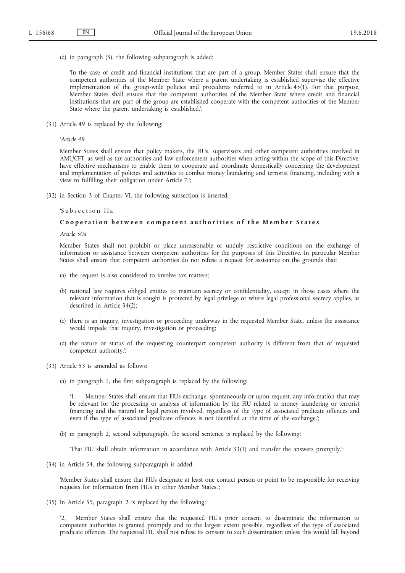(d) in paragraph (5), the following subparagraph is added:

'In the case of credit and financial institutions that are part of a group, Member States shall ensure that the competent authorities of the Member State where a parent undertaking is established supervise the effective implementation of the group-wide policies and procedures referred to in Article 45(1). For that purpose, Member States shall ensure that the competent authorities of the Member State where credit and financial institutions that are part of the group are established cooperate with the competent authorities of the Member State where the parent undertaking is established.';

(31) Article 49 is replaced by the following:

*'Article 49*

Member States shall ensure that policy makers, the FIUs, supervisors and other competent authorities involved in AML/CFT, as well as tax authorities and law enforcement authorities when acting within the scope of this Directive, have effective mechanisms to enable them to cooperate and coordinate domestically concerning the development and implementation of policies and activities to combat money laundering and terrorist financing, including with a view to fulfilling their obligation under Article 7.';

(32) in Section 3 of Chapter VI, the following subsection is inserted:

'Subsection IIa

## Cooperation between competent authorities of the Member States

*Article 50a*

Member States shall not prohibit or place unreasonable or unduly restrictive conditions on the exchange of information or assistance between competent authorities for the purposes of this Directive. In particular Member States shall ensure that competent authorities do not refuse a request for assistance on the grounds that:

- (a) the request is also considered to involve tax matters;
- (b) national law requires obliged entities to maintain secrecy or confidentiality, except in those cases where the relevant information that is sought is protected by legal privilege or where legal professional secrecy applies, as described in Article 34(2);
- (c) there is an inquiry, investigation or proceeding underway in the requested Member State, unless the assistance would impede that inquiry, investigation or proceeding;
- (d) the nature or status of the requesting counterpart competent authority is different from that of requested competent authority.';
- (33) Article 53 is amended as follows:
	- (a) in paragraph 1, the first subparagraph is replaced by the following:

Member States shall ensure that FIUs exchange, spontaneously or upon request, any information that may be relevant for the processing or analysis of information by the FIU related to money laundering or terrorist financing and the natural or legal person involved, regardless of the type of associated predicate offences and even if the type of associated predicate offences is not identified at the time of the exchange.';

(b) in paragraph 2, second subparagraph, the second sentence is replaced by the following:

'That FIU shall obtain information in accordance with Article 33(1) and transfer the answers promptly.';

(34) in Article 54, the following subparagraph is added:

'Member States shall ensure that FIUs designate at least one contact person or point to be responsible for receiving requests for information from FIUs in other Member States.';

(35) In Article 55, paragraph 2 is replaced by the following:

'2. Member States shall ensure that the requested FIU's prior consent to disseminate the information to competent authorities is granted promptly and to the largest extent possible, regardless of the type of associated predicate offences. The requested FIU shall not refuse its consent to such dissemination unless this would fall beyond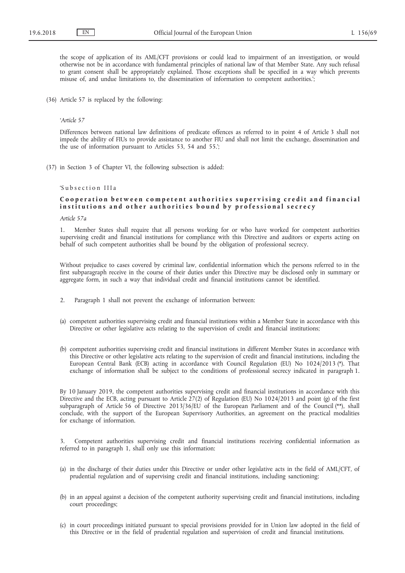the scope of application of its AML/CFT provisions or could lead to impairment of an investigation, or would otherwise not be in accordance with fundamental principles of national law of that Member State. Any such refusal to grant consent shall be appropriately explained. Those exceptions shall be specified in a way which prevents misuse of, and undue limitations to, the dissemination of information to competent authorities.';

(36) Article 57 is replaced by the following:

*'Article 57*

Differences between national law definitions of predicate offences as referred to in point 4 of Article 3 shall not impede the ability of FIUs to provide assistance to another FIU and shall not limit the exchange, dissemination and the use of information pursuant to Articles 53, 54 and 55.';

(37) in Section 3 of Chapter VI, the following subsection is added:

## 'Subsection IIIa

## Cooperation between competent authorities supervising credit and financial institutions and other authorities bound by professional secrecy

*Article 57a*

1. Member States shall require that all persons working for or who have worked for competent authorities supervising credit and financial institutions for compliance with this Directive and auditors or experts acting on behalf of such competent authorities shall be bound by the obligation of professional secrecy.

Without prejudice to cases covered by criminal law, confidential information which the persons referred to in the first subparagraph receive in the course of their duties under this Directive may be disclosed only in summary or aggregate form, in such a way that individual credit and financial institutions cannot be identified.

- 2. Paragraph 1 shall not prevent the exchange of information between:
- (a) competent authorities supervising credit and financial institutions within a Member State in accordance with this Directive or other legislative acts relating to the supervision of credit and financial institutions;
- (b) competent authorities supervising credit and financial institutions in different Member States in accordance with this Directive or other legislative acts relating to the supervision of credit and financial institutions, including the European Central Bank (ECB) acting in accordance with Council Regulation (EU) No 1024/2013 (\*). That exchange of information shall be subject to the conditions of professional secrecy indicated in paragraph 1.

By 10 January 2019, the competent authorities supervising credit and financial institutions in accordance with this Directive and the ECB, acting pursuant to Article 27(2) of Regulation (EU) No 1024/2013 and point (g) of the first subparagraph of Article 56 of Directive 2013/36/EU of the European Parliament and of the Council (\*\*), shall conclude, with the support of the European Supervisory Authorities, an agreement on the practical modalities for exchange of information.

3. Competent authorities supervising credit and financial institutions receiving confidential information as referred to in paragraph 1, shall only use this information:

- (a) in the discharge of their duties under this Directive or under other legislative acts in the field of AML/CFT, of prudential regulation and of supervising credit and financial institutions, including sanctioning;
- (b) in an appeal against a decision of the competent authority supervising credit and financial institutions, including court proceedings;
- (c) in court proceedings initiated pursuant to special provisions provided for in Union law adopted in the field of this Directive or in the field of prudential regulation and supervision of credit and financial institutions.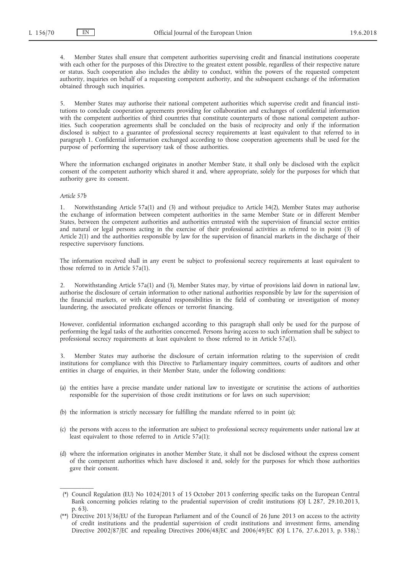4. Member States shall ensure that competent authorities supervising credit and financial institutions cooperate with each other for the purposes of this Directive to the greatest extent possible, regardless of their respective nature or status. Such cooperation also includes the ability to conduct, within the powers of the requested competent authority, inquiries on behalf of a requesting competent authority, and the subsequent exchange of the information obtained through such inquiries.

5. Member States may authorise their national competent authorities which supervise credit and financial institutions to conclude cooperation agreements providing for collaboration and exchanges of confidential information with the competent authorities of third countries that constitute counterparts of those national competent authorities. Such cooperation agreements shall be concluded on the basis of reciprocity and only if the information disclosed is subject to a guarantee of professional secrecy requirements at least equivalent to that referred to in paragraph 1. Confidential information exchanged according to those cooperation agreements shall be used for the purpose of performing the supervisory task of those authorities.

Where the information exchanged originates in another Member State, it shall only be disclosed with the explicit consent of the competent authority which shared it and, where appropriate, solely for the purposes for which that authority gave its consent.

#### *Article 57b*

1. Notwithstanding Article 57a(1) and (3) and without prejudice to Article 34(2), Member States may authorise the exchange of information between competent authorities in the same Member State or in different Member States, between the competent authorities and authorities entrusted with the supervision of financial sector entities and natural or legal persons acting in the exercise of their professional activities as referred to in point (3) of Article 2(1) and the authorities responsible by law for the supervision of financial markets in the discharge of their respective supervisory functions.

The information received shall in any event be subject to professional secrecy requirements at least equivalent to those referred to in Article 57a(1).

2. Notwithstanding Article 57a(1) and (3), Member States may, by virtue of provisions laid down in national law, authorise the disclosure of certain information to other national authorities responsible by law for the supervision of the financial markets, or with designated responsibilities in the field of combating or investigation of money laundering, the associated predicate offences or terrorist financing.

However, confidential information exchanged according to this paragraph shall only be used for the purpose of performing the legal tasks of the authorities concerned. Persons having access to such information shall be subject to professional secrecy requirements at least equivalent to those referred to in Article 57a(1).

3. Member States may authorise the disclosure of certain information relating to the supervision of credit institutions for compliance with this Directive to Parliamentary inquiry committees, courts of auditors and other entities in charge of enquiries, in their Member State, under the following conditions:

- (a) the entities have a precise mandate under national law to investigate or scrutinise the actions of authorities responsible for the supervision of those credit institutions or for laws on such supervision;
- (b) the information is strictly necessary for fulfilling the mandate referred to in point (a);
- (c) the persons with access to the information are subject to professional secrecy requirements under national law at least equivalent to those referred to in Article 57a(1);
- (d) where the information originates in another Member State, it shall not be disclosed without the express consent of the competent authorities which have disclosed it and, solely for the purposes for which those authorities gave their consent.

<sup>(\*)</sup> Council Regulation (EU) No 1024/2013 of 15 October 2013 conferring specific tasks on the European Central Bank concerning policies relating to the prudential supervision of credit institutions (OJ L 287, 29.10.2013, p. 63).

<sup>(\*\*)</sup> Directive 2013/36/EU of the European Parliament and of the Council of 26 June 2013 on access to the activity of credit institutions and the prudential supervision of credit institutions and investment firms, amending Directive 2002/87/EC and repealing Directives 2006/48/EC and 2006/49/EC (OJ L 176, 27.6.2013, p. 338).';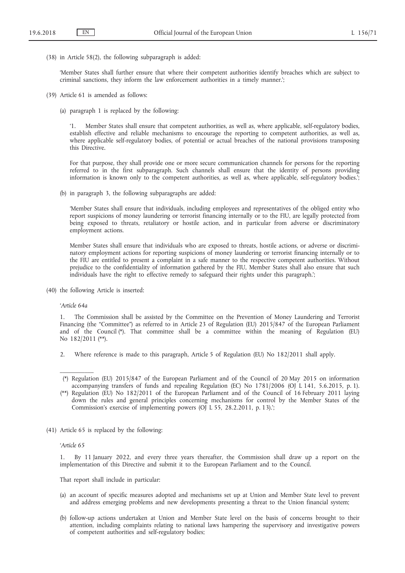(38) in Article 58(2), the following subparagraph is added:

'Member States shall further ensure that where their competent authorities identify breaches which are subject to criminal sanctions, they inform the law enforcement authorities in a timely manner.';

- (39) Article 61 is amended as follows:
	- (a) paragraph 1 is replaced by the following:

'1. Member States shall ensure that competent authorities, as well as, where applicable, self-regulatory bodies, establish effective and reliable mechanisms to encourage the reporting to competent authorities, as well as, where applicable self-regulatory bodies, of potential or actual breaches of the national provisions transposing this Directive.

For that purpose, they shall provide one or more secure communication channels for persons for the reporting referred to in the first subparagraph. Such channels shall ensure that the identity of persons providing information is known only to the competent authorities, as well as, where applicable, self-regulatory bodies.';

(b) in paragraph 3, the following subparagraphs are added:

'Member States shall ensure that individuals, including employees and representatives of the obliged entity who report suspicions of money laundering or terrorist financing internally or to the FIU, are legally protected from being exposed to threats, retaliatory or hostile action, and in particular from adverse or discriminatory employment actions.

Member States shall ensure that individuals who are exposed to threats, hostile actions, or adverse or discriminatory employment actions for reporting suspicions of money laundering or terrorist financing internally or to the FIU are entitled to present a complaint in a safe manner to the respective competent authorities. Without prejudice to the confidentiality of information gathered by the FIU, Member States shall also ensure that such individuals have the right to effective remedy to safeguard their rights under this paragraph.';

(40) the following Article is inserted:

*'Article 64a*

1. The Commission shall be assisted by the Committee on the Prevention of Money Laundering and Terrorist Financing (the "Committee") as referred to in Article 23 of Regulation (EU) 2015/847 of the European Parliament and of the Council (\*). That committee shall be a committee within the meaning of Regulation (EU) No 182/2011 (\*\*).

2. Where reference is made to this paragraph, Article 5 of Regulation (EU) No 182/2011 shall apply.

(41) Article 65 is replaced by the following:

*'Article 65*

1. By 11 January 2022, and every three years thereafter, the Commission shall draw up a report on the implementation of this Directive and submit it to the European Parliament and to the Council.

That report shall include in particular:

- (a) an account of specific measures adopted and mechanisms set up at Union and Member State level to prevent and address emerging problems and new developments presenting a threat to the Union financial system;
- (b) follow-up actions undertaken at Union and Member State level on the basis of concerns brought to their attention, including complaints relating to national laws hampering the supervisory and investigative powers of competent authorities and self-regulatory bodies;

<sup>(\*)</sup> Regulation (EU) 2015/847 of the European Parliament and of the Council of 20 May 2015 on information accompanying transfers of funds and repealing Regulation (EC) No 1781/2006 (OJ L 141, 5.6.2015, p. 1).

<sup>(\*\*)</sup> Regulation (EU) No 182/2011 of the European Parliament and of the Council of 16 February 2011 laying down the rules and general principles concerning mechanisms for control by the Member States of the Commission's exercise of implementing powers (OJ L 55, 28.2.2011, p. 13).';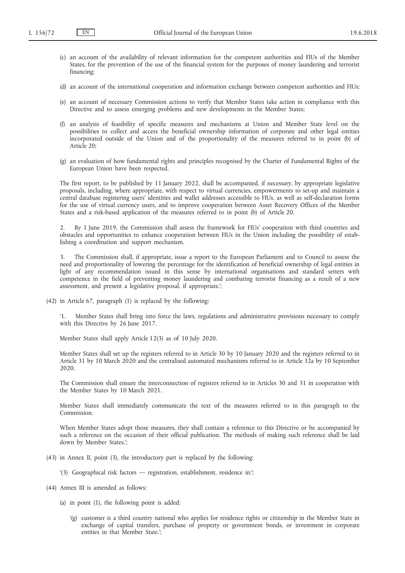- (c) an account of the availability of relevant information for the competent authorities and FIUs of the Member States, for the prevention of the use of the financial system for the purposes of money laundering and terrorist financing;
- (d) an account of the international cooperation and information exchange between competent authorities and FIUs;
- (e) an account of necessary Commission actions to verify that Member States take action in compliance with this Directive and to assess emerging problems and new developments in the Member States;
- (f) an analysis of feasibility of specific measures and mechanisms at Union and Member State level on the possibilities to collect and access the beneficial ownership information of corporate and other legal entities incorporated outside of the Union and of the proportionality of the measures referred to in point (b) of Article 20;
- (g) an evaluation of how fundamental rights and principles recognised by the Charter of Fundamental Rights of the European Union have been respected.

The first report, to be published by 11 January 2022, shall be accompanied, if necessary, by appropriate legislative proposals, including, where appropriate, with respect to virtual currencies, empowerments to set-up and maintain a central database registering users' identities and wallet addresses accessible to FIUs, as well as self-declaration forms for the use of virtual currency users, and to improve cooperation between Asset Recovery Offices of the Member States and a risk-based application of the measures referred to in point (b) of Article 20.

2. By 1 June 2019, the Commission shall assess the framework for FIUs' cooperation with third countries and obstacles and opportunities to enhance cooperation between FIUs in the Union including the possibility of establishing a coordination and support mechanism.

3. The Commission shall, if appropriate, issue a report to the European Parliament and to Council to assess the need and proportionality of lowering the percentage for the identification of beneficial ownership of legal entities in light of any recommendation issued in this sense by international organisations and standard setters with competence in the field of preventing money laundering and combating terrorist financing as a result of a new assessment, and present a legislative proposal, if appropriate.';

(42) in Article 67, paragraph (1) is replaced by the following:

Member States shall bring into force the laws, regulations and administrative provisions necessary to comply with this Directive by 26 June 2017.

Member States shall apply Article 12(3) as of 10 July 2020.

Member States shall set up the registers referred to in Article 30 by 10 January 2020 and the registers referred to in Article 31 by 10 March 2020 and the centralised automated mechanisms referred to in Article 32a by 10 September 2020.

The Commission shall ensure the interconnection of registers referred to in Articles 30 and 31 in cooperation with the Member States by 10 March 2021.

Member States shall immediately communicate the text of the measures referred to in this paragraph to the Commission.

When Member States adopt those measures, they shall contain a reference to this Directive or be accompanied by such a reference on the occasion of their official publication. The methods of making such reference shall be laid down by Member States.';

- (43) in Annex II, point (3), the introductory part is replaced by the following:
	- '(3) Geographical risk factors registration, establishment, residence in:';
- (44) Annex III is amended as follows:
	- (a) in point (1), the following point is added:
		- '(g) customer is a third country national who applies for residence rights or citizenship in the Member State in exchange of capital transfers, purchase of property or government bonds, or investment in corporate entities in that Member State.';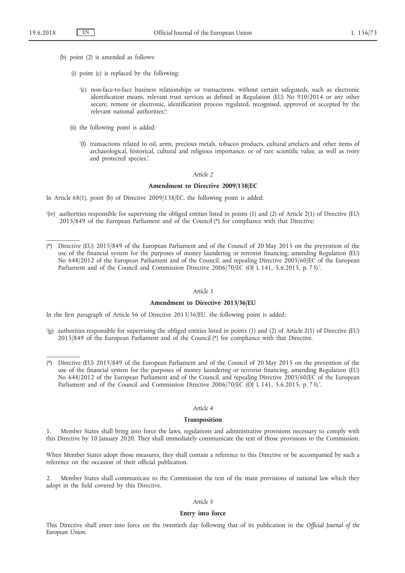$\mathcal{L}$  and  $\mathcal{L}$ 

 $\mathcal{L}=\mathcal{L}$ 

- (b) point (2) is amended as follows:
	- (i) point (c) is replaced by the following:
		- '(c) non-face-to-face business relationships or transactions, without certain safeguards, such as electronic identification means, relevant trust services as defined in Regulation (EU) No 910/2014 or any other secure, remote or electronic, identification process regulated, recognised, approved or accepted by the relevant national authorities;';
	- (ii) the following point is added:
		- '(f) transactions related to oil, arms, precious metals, tobacco products, cultural artefacts and other items of archaeological, historical, cultural and religious importance, or of rare scientific value, as well as ivory and protected species.'.

## *Article 2*

#### **Amendment to Directive 2009/138/EC**

In Article 68(1), point (b) of Directive 2009/138/EC, the following point is added:

- '(iv) authorities responsible for supervising the obliged entities listed in points (1) and (2) of Article 2(1) of Directive (EU) 2015/849 of the European Parliament and of the Council (\*) for compliance with that Directive;
- (\*) Directive (EU) 2015/849 of the European Parliament and of the Council of 20 May 2015 on the prevention of the use of the financial system for the purposes of money laundering or terrorist financing, amending Regulation (EU) No 648/2012 of the European Parliament and of the Council, and repealing Directive 2005/60/EC of the European Parliament and of the Council and Commission Directive 2006/70/EC (O) L 141, 5.6.2015, p. 73).

#### *Article 3*

#### **Amendment to Directive 2013/36/EU**

In the first paragraph of Article 56 of Directive 2013/36/EU, the following point is added:

- '(g) authorities responsible for supervising the obliged entities listed in points (1) and (2) of Article 2(1) of Directive (EU) 2015/849 of the European Parliament and of the Council (\*) for compliance with that Directive.
- (\*) Directive (EU) 2015/849 of the European Parliament and of the Council of 20 May 2015 on the prevention of the use of the financial system for the purposes of money laundering or terrorist financing, amending Regulation (EU) No 648/2012 of the European Parliament and of the Council, and repealing Directive 2005/60/EC of the European Parliament and of the Council and Commission Directive 2006/70/EC (OJ L 141, 5.6.2015, p. 73).'.

### *Article 4*

### **Transposition**

1. Member States shall bring into force the laws, regulations and administrative provisions necessary to comply with this Directive by 10 January 2020. They shall immediately communicate the text of those provisions to the Commission.

When Member States adopt those measures, they shall contain a reference to this Directive or be accompanied by such a reference on the occasion of their official publication.

2. Member States shall communicate to the Commission the text of the main provisions of national law which they adopt in the field covered by this Directive.

#### *Article 5*

## **Entry into force**

This Directive shall enter into force on the twentieth day following that of its publication in the *Official Journal of the European Union*.